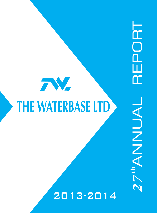# **THE WATERBASE LTD**

TV.

### 2013-2014

PORT

 $\overline{\mathbb{C}}$ 

**HAUMM<sup>#7</sup>**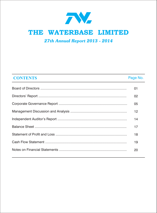

### THE WATERBASE LIMITED

27th Annual Report 2013 - 2014

| <b>CONTENTS</b> | Page No. |
|-----------------|----------|
|                 | 01       |
|                 | 02       |
|                 | 05       |
|                 | 12       |
|                 | 14       |
|                 | 17       |
|                 | 18       |
|                 | 19       |
|                 | 20       |
|                 |          |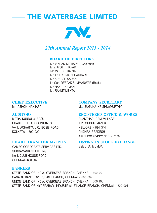### **THE WATERBASE LIMITED**



*27th Annual Report 2013 - 2014*

#### **BOARD OF DIRECTORS**

Mr. VIKRAM M THAPAR, Chairman Mr. ANIL KUMAR BHANDARI Lt. Gen. DEEPAK SUMMANWAR (Retd.) Mr. ADARSH SARAN Mr. NAKUL KAMANI Mrs. JYOTI THAPAR Mr. RANJIT MEHTA Mr. VARUN THAPAR

#### **CHIEF EXECUTIVE**

Mr. ASHOK NANJAPA

#### **AUDITORS**

**MITRA KUNDU & BASU** CHARTERED ACCOUNTANTS No.1, ACHARYA J.C. BOSE ROAD KOLKATA - 700 020

#### **SHARE TRANSFER AGENTS**

CAMEO CORPORATE SERVICES LTD. SUBRAMANIAN BUILDING No.1, CLUB HOUSE ROAD CHENNAI - 600 002

#### **COMPANY SECRETARY**

Ms. SUGUNA KRISHNAMURTHY

#### **REGISTERED OFFICE & WORKS**

ANANTHAPURAM VILLAGE T.P. GUDUR MANDAL NELLORE - 524 344 ANDHRA PRADESH CIN:L05005AP1987PLC018436

#### **LISTING IN STOCK EXCHANGE**

BSE LTD., MUMBAI

#### **BANKERS**

STATE BANK OF INDIA, OVERSEAS BRANCH, CHENNAI - 600 001 CANARA BANK, OVERSEAS BRANCH, CHENNAI - 600 002 UNION BANK OF INDIA, OVERSEAS BRANCH, CHENNAI - 600 108 STATE BANK OF HYDERABAD, INDUSTRIAL FINANCE BRANCH, CHENNAI - 600 001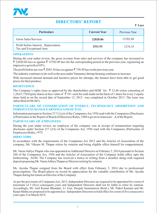

#### **DIRECTORS' REPORT**

| <b>Particulars</b>                                                | <b>Current Year</b> | Previous Year |
|-------------------------------------------------------------------|---------------------|---------------|
| Gross Sales/Services                                              | 22820.86            | 15702.09      |
| Profit before Interest, Depreciation,<br>Tax and Exceptional item | 2511.91             | 1274.35       |

#### **OPERATIONS**

During the year under review, the gross revenue from sales and services of the company has increased to ₹ 22820.86 lacs as against ₹ 15702.09 lacs for the corresponding period in the previous year, registering an impressive growth of 45%.

The profit before tax was  $\bar{\xi}$  2043.56 lacs as against  $\bar{\xi}$  758.49 lacs in the previous year.

The industry continues to do well as the area under Vannamei shrimp farming continues to increase.

With increased internal demand and lucrative prices for shrimps, the farmers have been able to get good prices for their produce.

#### **RIGHTS ISSUE**

The Company's rights issue as approved by the shareholders and SEBI for  $\bar{\zeta}$  12.86 crores consisting of 1,28,67,750 Equity shares at face value of  $\bar{\tau}$  10/- each for cash made on the basis of 1 share for every 2 equity share held as on the record date of September 12, 2013 was completed in October 2013. The issue was subscribed at106.86%.

#### **PARTICULARS OF CONSERVATION OF ENERGY, TECHNOLOGY ABSORPTION AND FOREIGN EXCHANGE EARNINGS AND OUTGO.**

Information pursuant to Section 217 (1) (e) of the Companies Act 1956 read with the Companies (Disclosure of Particulars in the Report of Board of Directors) Rules, 1988 is given in Annexure – Aof the Report.

#### **PARTICULARS OF EMPLOYEES**

During the year under review, no employee of the company was in receipt of remuneration requiring disclosure under Section 217 (2A) of the Companies Act, 1956 read with the Companies (Particulars of Employees) Rules, 1975.

#### **DIRECTORS**

In accordance with the requirements of the Companies Act 2013 and the Articles of Association of the company, Mr. Vikram M. Thapar retires by rotation and being eligible offers himself for reappointment.

Mr. Varun Aditya Thapar who was appointed as Additional Director on February 5, 2014 pursuant to Section 260 of the Companies Act, 1956 and the Articles of Association of the Company holds office upto the forthcoming AGM. The Company has received a notice in writing from a member along with required deposit proposing Mr. Varun Aditya Thapar as Director retiring by rotation.

Ms. Ayesha Thapar resigned from the Board with effect from February 5, 2014 due to professional preoccupation. The Board places on record its appreciation for the valuable contribution of Ms. Ayesha Thapar during her tenure as Director of the Company.

As per the provisions of Companies Act, 2013, Independent Directors are required to be appointed for a term of maximum of 5 (five) consequent years and Independent Directors shall not be liable to retire by rotation. Accordingly, Mr. Anil Kumar Bhandari, Lt. Gen. Deepak Summanwar (Retd.), Mr. Nakul Kamani and Mr. Ranjit Mehta are proposed to be appointed as Independent Directors to hold office for a term of five consecutive years upto 31st March 2019.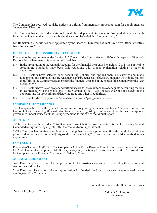

The Company has received requisite notices in writing from members proposing them for appointment as Independent Directors.

The Company has received declarations from all the independent Directors confirming that they meet with the criteria of independence as prescribed under section  $146(6)$  of the Companies Act, 2013.

Mr. Ramakanth V. Akula has been appointed by the Board of Directors as Chief Executive Officer effective from 1st August 2014.

#### **DIRECTOR'S RESPONSIBILITY STATEMENT**

Pursuant to the requirement under Section 217 (2 AA) of the Companies Act, 1956 with respect to Director's Responsibility Statement, it is hereby confirmed that :

- (1) In the preparation of the Annual Accounts for the financial year ended March 31, 2014 the applicable Accounting Standards have been followed along with proper explanation relating to material departures.
- (2) The Directors have selected such accounting policies and applied them consistently and made judgements and estimates that are reasonable and prudent so as to give a true and fair view of the State of the affairs of the Company as at the end of the financial year and of the profit of the company for the year under review.
- (3) The Directors have taken proper and sufficient care for the maintenance of adequate accounting records in accordance with the provisions of the Companies Act, 1956 for safe guarding the assets of the company and for preventing and detecting fraud and other irregularities.
- (4) The Directors have prepared the Annual Accounts on a "going concern basis".

#### **CORPORATE GOVERNANCE**

The Company has over the years been committed to good governance practices. A separate report on Corporate Governance together with Auditors certificate regarding compliance of conditions of corporate governance under Clause 49 of the listing agreement, forms part of the Annual report.

#### **AUDITORS**

1) The Statutory Auditors M/s. Mitra Kundu & Basu, Chartered Accountants, retire at the ensuing Annual General Meeting and being eligible, offer themselves for re-appointment.

2) The Company has received their letter confirming that their re-appointment, if made, would be within the prescribed limits under section  $141(3)$  (g) of the Companies Act, 2013 and that they are not disqualified for reappointment.

#### **COSTAUDIT**

Pursuant to Section 233 (B) (2) of the Companies Act 1956, the Board of Directors on the recommendation of the Audit Committee, appointed Mr. K. Suryanarayana, Practicing Cost Accountant as the Cost Auditor of the Company for the Financial Year ended  $31<sup>s</sup>$  March, 2014.

#### **ACKNOWLEDGEMENT**

Your Directors place on record their appreciation for the assistance and support extended by the Government Authorities and Banks.

Your Directors place on record their appreciation for the dedicated and sincere services rendered by the employees of the Company.

For and on behalf of the Board of Directors

New Delhi, July 31, 2014

**Vikram M Thapar** *Chairman*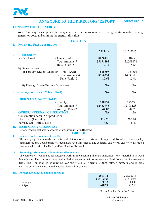

#### **ANNEXURE TO THE DIRECTORS' REPORT - Annexure -A**

#### **CONSERVATION OFENERGY**

Your Company has implemented a system for continuous review of energy costs to reduce energy generation costs and optimize the energy utilisation.

|              |                                       | <b>FORM-A</b>                             |           |           |
|--------------|---------------------------------------|-------------------------------------------|-----------|-----------|
| I.           | <b>Power and Fuel Consumption</b>     |                                           |           |           |
|              |                                       |                                           | 2013-14   | 2012-2013 |
| 1            | <b>Electricity</b>                    |                                           |           |           |
|              | a) Purchased                          | - Units (Kwh)                             | 8026420   | 5718750   |
|              |                                       | - Total Amount -₹                         | 57171292  | 32509671  |
|              |                                       | - Rate / Unit - $\bar{\tau}$              | 7.12      | 5.68      |
|              | b) Own Generation:                    |                                           |           |           |
|              |                                       | i) Through Diesel Generator - Units (Kwh) | 508805    | 963601    |
|              |                                       | - Total Amount -₹                         | 8966351   | 14898585  |
|              |                                       | - Rate / Unit - $\bar{\tau}$              | 17.62     | 15.46     |
|              |                                       | ii) Through Steam Turbine / Generator     | <b>NA</b> | NA.       |
| $\mathbf{2}$ | <b>Coal (Quantity And Where Used)</b> |                                           | <b>NA</b> | NA        |
| 3            | <b>Furnace Oil-Quantity (K.Lts)</b>   |                                           |           |           |
|              |                                       | - Total Qty                               | 278054    | 273630    |
|              |                                       | - Total Amount -₹                         | 12462745  | 12108128  |
|              |                                       | - Average Rate - $\bar{\tau}$             | 44.82     | 44.25     |
| 4            | <b>OTHER/INTERNAL GENERATION</b>      |                                           | <b>NA</b> | NA.       |
|              | Consumption per unit of production    |                                           |           |           |
|              | Electricity (Unit/MT)                 |                                           | 214.70    | 205.14    |
|              | Furnace Oil (Litres / MT)             |                                           | 7.33      | 8.40      |
|              |                                       |                                           |           |           |

**II. TECHNOLOGYABSORPTION**

Efforts made in technology absorption are shown in Form B below: **FORM - B**

#### **I Research and Development (R&D)**

The company continuously interacts with International Experts on Shrimp Feed Nutrition, water quality management and Development of specialised Feed Ingredients. The company also works closely with reputed Institutes who are involved in Aqua Feed Nutrition Research.

#### **ii Technology Absorption, Adaptation and Innovation**

The company is continuing its Research work in implementing alternate Indigenous Raw Material in its Feed Manufacture. The company is engaged in finding animal protein substitutes and Feed Conversion improvement trials.The Company is conducting various trials on Shrimp culture related matters and is also working on alternate Feed ingredients and digestability studies.

| <b>III.</b> Foreign Exchange Earnings and Outgo |                       |                       |
|-------------------------------------------------|-----------------------|-----------------------|
|                                                 | 2013-14               | 2012-2013             |
|                                                 | $\bar{\tau}$ in Lakhs | $\bar{\tau}$ in Lakhs |
| - Earnings                                      | 130.32                | 84.47                 |
| - Outgo                                         | 648.79                | 722.57                |
|                                                 |                       |                       |

For and on behalf of the Board

|                          | Vikram M Thapar |
|--------------------------|-----------------|
| New Delhi, July 31, 2014 | Chairman        |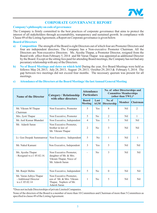

#### **CORPORATE GOVERNANCE REPORT**

#### **Company's philosophy on code of governance**

The Company is firmly committed to the best practices of corporate governance that aims to protect the interest of all stakeholders through accountability, transparency and sustained growth. In compliance with Clause 49 of the Listing Agreement, a Report on Corporate governance is given below.

#### **Board of Directors**

- **a) Composition** The strength of the Board is eight Directors out of which four are Promoter Directors and four are independent directors. The Company has a Non-executive Promoter Chairman. All the Directors are Non-executive Directors. Ms. Ayesha Thapar, a Promoter Director, resigned from the Board with effect from February 5, 2014 and Mr Varun Thapar was appointed as additional Director by the Board. Except or the sitting fees paid for attending Board meetings, the Company has not had any pecuniary relationship with any of the Directors.
- **b) No of Board Meetings and dates on which held** During the year, five Board Meetings were held as follows: May 24, 2013, July 28, 2013, August 29, 2013, October 29, 2013 & February 5, 2014. The gap between two meetings did not exceed four months. The necessary quorum was present for all meetings.

#### **c) Attendance of the Directors at the Board Meetings/ the last Annual General Meeting**

| <b>Name of the Director</b>                                         | <b>Category / Relationship</b><br>with other directors                                           | <b>Attendance</b><br><b>Particulars</b> |                    | No. of other Directorships and<br><b>Committee Memberships</b><br>(other than TWL)* |               |                |
|---------------------------------------------------------------------|--------------------------------------------------------------------------------------------------|-----------------------------------------|--------------------|-------------------------------------------------------------------------------------|---------------|----------------|
|                                                                     |                                                                                                  | <b>Board</b><br><b>Meeting</b>          | Last<br><b>AGM</b> | No. of<br><b>Directorship</b>                                                       | <b>Member</b> | Chairman       |
| Mr. Vikram M Thapar<br>Chairman                                     | Non Executive, Promoter                                                                          | 5                                       | Yes                | 8                                                                                   | Nil           | $\overline{2}$ |
| Mrs. Jyoti Thapar                                                   | Non Executive, Promoter                                                                          | 5                                       | No                 | $\overline{2}$                                                                      | Nil           | 1              |
| Mr. Anil Kumar Bhandari                                             | Non Executive, Independent                                                                       | 4                                       | Yes                | $\overline{\phantom{0}}$                                                            | Nil           | Nil            |
| Mr. Adarsh Saran                                                    | Non Executive Promoter,<br>brother in law of<br>Mr. Vikram Thapar                                | 2                                       | No                 | 3                                                                                   | Nil           | Nil            |
| Lt. Gen Deepak Summanwar                                            | Non Executive, Independent                                                                       | 5                                       | No                 | $\mathbf{1}$                                                                        | Nil           | 1              |
| Mr. Nakul Kamani                                                    | Non Executive, Independent                                                                       | 3                                       | Yes                | $\overline{5}$                                                                      | Nil           | Nil            |
| Ms. Ayesha Thapar<br>- Resigned w.e.f. 05.02.14.                    | Non Executive Promoter,<br>daughter of Mr. & Mrs.<br>Vikram Thapar, Niece of<br>Mr. Adarsh Saran |                                         | No                 | $\mathcal{E}$                                                                       | Nil           | Nil            |
| Mr. Ranjit Mehta                                                    | Non Executive, Independent                                                                       | $\overline{\phantom{0}}$                | N <sub>0</sub>     | $\theta$                                                                            | Nil           | Nil            |
| Mr. Varun Aditya Thapar<br>- Additional Director<br>w.e.f. 05.02.14 | Non Executive Promoter,<br>son of Mr. & Mrs. Vikram<br>Thapar, Nephew of Mr.<br>Adarsh Saran     | 1                                       | No                 | 5                                                                                   | Nil           | Nil            |

\*Does not include Directorships of private Limited Companies.

None of the directors of the Board is a member of more than 10 Committees and Chairman of more than 5 Committees as specified in clause 49 of the Listing Agreement.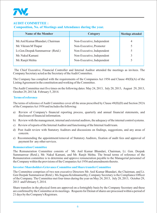

#### **AUDIT COMMITTEE : Composition, No. of Meetings and Attendance during the year.**

| <b>Name of the Member</b>         | Category                   | <b>Meetings attended</b> |
|-----------------------------------|----------------------------|--------------------------|
| Mr. Anil Kumar Bhandari, Chairman | Non-Executive, Independent | 4                        |
| Mr. Vikram M Thapar               | Non-Executive, Promoter    | 5                        |
| Lt. Gen. Deepak Summanwar (Retd.) | Non-Executive, Independent | 5                        |
| Mr. Nakul Kamani                  | Non-Executive, Independent | 3                        |
| Mr. Ranjit Mehta                  | Non-Executive, Independent | 5                        |

The Chief Executive, Financial Controller and Internal Auditor attended the meetings as invitees. The Company Secretary acted as the Secretary of the Audit Committee.

The Company has complied with the requirements of the Companies Act 1956 and Clause 49(II)(A) of the Listing Agreement in the constitution and working of the Committee.

The Audit Committee met five times on the following dates: May 24, 2013, July 28, 2013, August 29, 2013, October 29, 2013 & February 5, 2014.

#### **Terms of reference**

The terms of reference of Audit Committee cover all the areas prescribed by Clause 49(II)(D) and Section 292A of the Companies Act 1956 and includes the following:

- a) Review of Company's financial reporting process, quarterly and annual financial statements, and disclosure of financial information.
- b) Review with the management, internal and external auditors, the adequacy of the internal control systems.
- c) Review of reports of the Internal Auditor and functioning of the Internal Audit team.
- d) Post Audit review with Statutory Auditors and discussions on findings, suggestions, and any areas of concern.
- e) Recommending the appointment/removal of Statutory Auditors, fixation of audit fees and approval of payment for any other services.

#### **Remuneration Committee**

The Remuneration Committee consists of Mr. Anil Kumar Bhandari, Chairman, Lt. Gen. Deepak Summanwar (Retd.), Mr. Nakul Kamani, and Mr. Ranjit Mehta. The broad terms of reference of the Remuneration committee is to determine and approve remuneration payable to the Managerial personnel of the Company within the provisions of the Companies Act 1956 and amendments thereto.

#### **Investor /Shareholders Grievance Committee and Share transferCommittee**

The Committee comprises of two non executive Directors Mr. Anil Kumar Bhandari, the Chairman, and Lt. Gen Deepak Summanwar (Retd.). Ms.Suguna Krishnamurthy, Company Secretary is the Compliance Officer of the Company. The Committee met four times during the year on May 24, 2013, July 28, 2013, October 29, 2013 and February 5, 2014.

Share transfers in the physical form are approved on a fortnightly basis by the Company Secretary and these are confirmed by the Committee at its meetings. Requests for Demat of shares are processed within a period of 21 days by the Company's Registrars.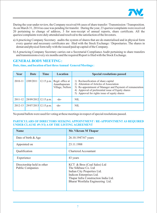

During the year under review, the Company received 44 cases of share transfer / Transmission / Transposition. As on March 31, 2014 no case was pending for transfer. During the year, 23 queries/complaints were received 20 pertaining to change of address, 3 for non-receipt of annual reports, share certificate. All the queries/complaints were duly attended and resolved to the satisfaction of the Investors.

- a) A practicing Company Secretary audits the system of shares that are de-materialised and in physical form every quarter and necessary certificates are filed with the Stock Exchange / Depositaries. The shares in demat and physical form tally with the issued/paid up capital of the Company.
- b) A practicing Company Secretary carries out a Secretarial Compliance Audit pertaining to share transfers and transmissions every six months and the required Report is filed with the Stock Exchange.

#### **GENERALBODYMEETING :**

#### **Date, time, and location of last three Annual General Meetings :**

| Year        | Date                    | Time         | Location                                            | <b>Special resolutions passed</b>                                                                                                                                                                                                                   |
|-------------|-------------------------|--------------|-----------------------------------------------------|-----------------------------------------------------------------------------------------------------------------------------------------------------------------------------------------------------------------------------------------------------|
| 2010-11     | 2/09/2011               | $12.15$ p.m. | Regd. office at<br>Ananthapuram<br>Village, Nellore | 1) Reclassification of share capital<br>2) Alteration of Articles of Association<br>3) Re-appointment of Manager and Payment of remuneration<br>4) Approval of preferential issue of Equity shares<br>5) Approval for rights issue of equity shares |
| $2011 - 12$ | 28/09/2012 12.15 p.m.   |              | $-do-$                                              | NIL.                                                                                                                                                                                                                                                |
| $2012 - 13$ | $29/07/2013$ 12.15.p.m. |              | $-do-$                                              | <b>NIL</b>                                                                                                                                                                                                                                          |

No postal ballots were used for voting at these meetings in respect of special resolutions passed.

#### **PARTICULARS OF DIRECTORS SEEKING APPOINTMENT / RE-APPOINTMENT AS REQUIRED UNDER CLAUSE 49 (VI) A OF THE LISTING AGREEMENT**

| <b>Name</b>                                           | Mr. Vikram M Thapar                                                                                                                                                                          |
|-------------------------------------------------------|----------------------------------------------------------------------------------------------------------------------------------------------------------------------------------------------|
| Date of birth & Age                                   | 26.10.1947/67 years                                                                                                                                                                          |
| Appointed on                                          | 23.11.1988                                                                                                                                                                                   |
| Qualification                                         | Chartered Accountant                                                                                                                                                                         |
| Experience                                            | 43 years                                                                                                                                                                                     |
| Directorship held in other<br><b>Public Companies</b> | KCT & Bros (Coal Sales) Ltd<br>The Silkbase Co. Ltd.<br>Indian City Properties Ltd.<br>Indicon Enterprises Ltd.<br>Thapar Infra Construction India Ltd.<br>Bharat Westfalia Engineering Ltd. |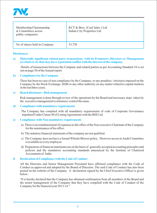

| Membership/Chairmanship<br>at Committees across<br>public companies | KCT & Bros. (Coal Sales) Ltd<br>Indian City Properties Ltd. |
|---------------------------------------------------------------------|-------------------------------------------------------------|
| No of shares held in Company                                        | 53,750                                                      |

#### **Disclosures**

#### **a) Materially significant related party transactions with its Promoters, Directors or Management or relatives etc that may have a potential conflict with the interest of the company.**

Details of transactions between the Company and related parties as per Accounting Standard 18 is set out on page 30 of the Annual report.

#### **b) Compliances by the Company**

There has been no case of non compliance by the Company, or any penalties / strictures imposed on the Company by the Stock Exchange, SEBI or any other authority on any matter related to capital markets in the last three years.

#### **c) Board disclosure - Risk management**

Risk management is done through review of the operations by the Board and necessary steps taken by the executive management to minimize /control the same..

#### **d) Compliance with mandatory requirements**

The Company has complied with all mandatory requirements of code of Corporate Governance stipulated Under Clause 49 of Listing Agreements with the BSE Ltd.

#### **e) Compliance with Non-mandatory requirements**

- a) There is no reimbursement of expenses to the office of the Non executive Chairman of the Company for the maintenance of his office.
- b) The statutory financial statements of the company are not qualified.
- c) The Company does not have a formal Whistle Blower policy. However access to Audit Committee is available to every employee.
- d) Preparation of financial statements are on the basis of generally accepted accounting principles and policies and the mandatory accounting standards announced by the Institute of Chartered Accountants of India.

#### **f) Declaration of Compliance with the Code of Conduct**

All the Directors and Senior Management Personnel have affirmed compliance with the Code of Conduct as approved and adopted by the Board of Directors. The said Code of Conduct has also been posted on the website of the Company. A declaration signed by the Chief Executive Officer is given below:

"It is hereby declared that the Company has obtained confirmation from all members of the Board and the senior management of the Company that they have complied with the Code of Conduct of the Company for the financial year 2013-14."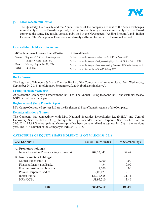

#### **g) Means of communication**

The Quarterly, Half yearly and the Annual results of the company are sent to the Stock exchanges immediately after the Board's approval, first by fax and then by courier immediately after the Board approved the same. The results are also published in the Newspapers "Andhra Bhoomi", and "Indian Express". The Management Discussions and Analysis Report forms part of the Annual Report.

#### **General Shareholders Information**

| (I) The Twenty seventh Annual General Meeting                                                     | (ii) Financial Calender                                                                                                                                                                                                                     |
|---------------------------------------------------------------------------------------------------|---------------------------------------------------------------------------------------------------------------------------------------------------------------------------------------------------------------------------------------------|
| <b>Venue</b> : Registered Office at Ananthapuram                                                  | Publication of results for quarter ending June 30, 2014 - in August 2014                                                                                                                                                                    |
| Village, Nellore - 524 344.<br>: Monday, September 29, 2014<br>Date<br><b>Time</b> : $12.15$ p.m. | Publication of results for quarter/half year ending September 30, 2014- in October 2014<br>Publication of results for quarter/nine month ending December 31,2014-in January 2015<br>Publication of Audited results for 2014-15 -in May 2015 |

#### **Book Closure**

The Register of Members & Share Transfer Books of the Company shall remain closed from Wednesday, September 24, 2014 upto Monday, September 29, 2014 (both days inclusive).

#### **Listing on Stock Exchanges**

At present the Company is listed with the BSE Ltd. The Annual Listing fee to the BSE and custodial fees to NSDL/CDSLhave been paid.

#### **Registrars and Share TransferAgent**

M/s. Cameo Corporate Services Ltd are the Registrars & Share Transfer Agents of the Company.

#### **Dematerialisation of Shares**

The Company has connectivity with M/s. National Securities Depositories Ltd.(NSDL) and Central Depository Services Ltd (CDSL), through the Registrars M/s Cameo Corporate Services Ltd.. As on 31/3/2014, 82.83 % of our paid up share capital has been dematerialized as against 74.15% in the previous year. The ISIN Number of the Company is INE054C01015.

#### **CATEGORIES OF EQUITY SHARE HOLDING AS ON MARCH 31, 2014**

| <b>CATEGORY:</b>                                                    | No. of Equity Shares | % of Shareholdings |
|---------------------------------------------------------------------|----------------------|--------------------|
| A. Promoters holdings<br>Indian Promoters/Persons acting in concert | 202, 53, 347         | 52.47              |
| <b>B.</b> Non Promoters holdings:                                   |                      |                    |
| Mutual Funds and UTI                                                | 7,000                | 0.00               |
| Financial Instns, and Banks                                         | 434                  | 0.00               |
| Foreign Institutional Investor                                      | 1,600                | 0.00               |
| Private Corporate Bodies                                            | 9,08,121             | 2.36               |
| Indian Public                                                       | 122, 37, 538         | 31.71              |
| NRIs/OCBs                                                           | 51,95,210            | 13.46              |
| <b>Total</b>                                                        | 386,03,250           | 100.00             |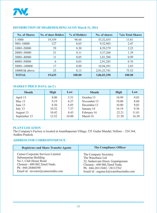

| <b>No. of Shares</b> | <b>No. of share Holders</b> | % of Holders | No. of shares | <b>%to Total Shares</b> |
|----------------------|-----------------------------|--------------|---------------|-------------------------|
| $1 - 5000$           | 19,359                      | 98.64        | 53, 32, 435   | 13.81                   |
| 5001-10000           | 127                         | 0.65         | 9,52,965      | 2.47                    |
| 10001-20000          | 59                          | 0.30         | 8,59,579      | 2.23                    |
| 20001-30000          | 21                          | 0.11         | 5,37,268      | 1.39                    |
| 30001-40000          | 11                          | 0.05         | 3,81,588      | 0.99                    |
| 40001-50000          | 6                           | 0.03         | 2,91,283      | 0.76                    |
| 50001-100000         | 17                          | 0.09         | 10,94,391     | 2.83                    |
| 100001& above        | 25                          | 0.13         | 2,91,53,741   | 75.52                   |
| <b>TOTAL</b>         | 19,625                      | 100.00       | 3,86,03,250   | 100.00                  |

#### **DISTRIBUTION OF SHAREHOLDING AS ON March 31, 2014**

#### **MARKET PRICE DATA: (in ₹)**

| <b>Month</b> | High  | Low   | <b>Month</b> | High  | Low   |
|--------------|-------|-------|--------------|-------|-------|
| April 13     | 8.00  | 5.51  | October 13   | 10.99 | 9.03  |
| May 13       | 9.19  | 6.27  | November 13  | 10.00 | 8.60  |
| June 13      | 8.30  | 6.85  | December 13  | 10.80 | 9.03  |
| July 13      | 10.32 | 7.37  | January 14   | 16.19 | 9.36  |
| August 13    | 10.42 | 8.43  | February 14  | 22.21 | 11.01 |
| September 13 | 12.52 | 10.00 | March 14     | 21.50 | 16.30 |

#### **PLANT LOCATION**

The Company's Factory is located at Ananthapuram Village, T.P. Gudur Mandal, Nellore – 524 344, Andhra Pradesh.

#### **ADDRESS FOR CORRESPONDENCE**

| <b>Registrars and Share Transfer Agents</b> | <b>The Compliance Officer</b>         |
|---------------------------------------------|---------------------------------------|
| Cameo Corporate Services Limited            | The Company Secretary                 |
| Subramanian Building                        | The Waterbase Ltd                     |
| No.1, Club House Road                       | 22, Sadasivam Street, Gopalapuram     |
| Chennai - 600 002, Tamil Nadu.              | Chennai - 600 086, Tamil Nadu.        |
| $Ph: 044-28460390$                          | Ph: 044-28113682 / 28112762           |
| Email id: investor@cameoindia.com           | Email id: suguna.k@waterbaseindia.com |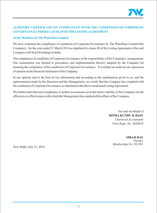

#### **AUDITORS' CERTIFICATE ON COMPLIANCE WITH THE CONDITIONS OF CORPORATE GOVERNANCE UNDER CLAUSE 49 OFTHE LISTING AGREEMENT**

#### **To the Members of The Waterbase Limited**

We have examined the compliance of conditions of Corporate Governance by The Waterbase Limited (the Company), for the year ended 31 March 2014 as stipulated in clause 49 of the Listing Agreement of the said Company with Stock Exchange in India.

The compliance of conditions of Corporate Governance is the responsibility of the Companys management. Our examination was limited to procedures and implementation thereof, adopted by the Company for ensuring the compliance of the conditions of Corporate Governance. It is neither an audit nor an expression of opinion on the financial statements of the Company.

In our opinion and to the best of our information and according to the explanations given to us, and the representation made by the Directors and the Management, we certify that the Company has complied with the conditions of Corporate Governance as stipulated in the above mentioned Listing Agreement.

We further state that such compliance is neither an assurance as to the future viability of the Company nor the efficiency or effectiveness with which the Management has conducted the affairs of the Company.

> For and on behalf of **MITRA KUNDU & BASU**  *Chartered Accountants Firm Regn. No. 302061E*

> > **SIBAJI DAS** *Partner Membership No. 051391*

New Delhi, July 31, 2014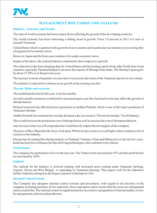

#### **MANAGEMENT DISCUSSION AND ANALYSIS**

#### **Industry, Structure and Trends**

The state of world economy has been a major factor affecting the growth of the developing countries.

The world economy has been witnessing a sliding trend in growth. From 3.9 percent in 2011 it is now at around 3.0 percent.

United States which is a partner in the growth of our economy and in particular our industry is recovering after a long period of economic stress.

However, Japan and the Euro zone continue to be under economic stress.

Inspite of the above, the seafood industry continued to show impressive growth.

The reduction in the Anti-dumping duty by United States and decreasing exports from other South East Asian countries especially Thailand helped to increase the exports of Shrimps from India. The Shrimp Export grew by about 33.50% over the previous year.

The increase in terms of quantity was also due to increased cultivation of the Vannamei species in our country.

The industry is expected to continue to see growth in the coming year also.

#### **Threats / Risks and concerns**

The rainfall prediction for this year is not favourable.

An unfavourable monsoon would lead to increased input costs like feed and in turn may affect the growth of shrimp farmers.

Delayed monsoon has affected power generation in Andhra Pradesh, which is one of the major producers of Vannamei shrimps.

Andhra Pradesh Government has recently declared a day in a week as "Electricity holiday" for all industry.

This would increase the production cost of shrimp feed as well as increase the cost of shrimp production.

Any increase in the cost of Feed production would directly impact the net margins of the company.

The price of Raw Materials like Soya, Fish meal, Wheat etc have risen to record highs which continue to be of concern to the industry.

Disease has devastated the shrimp industry in Thailand, Vietnam, China and Malaysia over the last few years. India has been free of disease but like all living technologies, this continues to be a threat.

#### **Performance**

The company has performed well over the last year. The Turnover has increased by 45% and the profit before tax increased by 169%.

#### **Outlook**

The outlook for the industry is forward looking with increased areas coming under Vannamei farming. Gujarat, Orissa and West Bengal is expanding its Vannamei farming. This augurs well for the industries further. India has emerged as the largest exporter of shrimps to USA.

#### **Internal Control System**

The Company has adequate internal control systems and procedures, with regard to all activities of the company including purchase of raw materials, stores and spares and to ensure that the assets are safeguarded and accounted for. The internal control is supplemented by an extensive programme of internal audits, review by management, policies and production.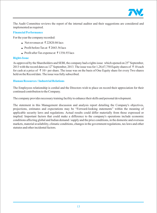

The Audit Committee reviews the report of the internal auditor and their suggestions are considered and implemented as required.

#### **Financial Performance**

For the year the company recorded:

- Net revenues at  $\bar{\tau}$  22820.86 lacs
- Profit before Tax at  $\bar{\tau}$  2043.56 lacs
- Profit after Tax expense at  $\bar{\tau}$  1356.93 lacs

#### **Rights Issue**

As approved by the Shareholders and SEBI, the company had a rights issue which opened on  $25<sup>th</sup>$  September, 2013 with the record dates as 12<sup>th</sup> September, 2013. The issue was for 1,28,67,750 Equity shares of  $\bar{\tau}$  10 each for cash at a price of  $\bar{\tau}$  10/- per share. The issue was on the basis of One Equity share for every Two shares held on the Record date. The issue was fully subscribed.

#### **Human Resources / Industrial Relations**

The Employees relationship is cordial and the Directors wish to place on record their appreciation for their continued contribution to the Company.

The company provides necessary training facility to enhance their skills and personal development.

The statement in this Management discussion and analysis report detailing the Company's objectives, projections, estimates and expectations may be "Forward-looking statements" within the meaning of applicable security laws and regulations. Actual results could differ materially from those expressed or implied. Important factors that could make a difference to the company's operations include economic conditions affecting global and Indian demand / supply and the price conditions, in the domestic and overseas markets, material availability, climatic conditions, changes in the government regulations, tax laws and other statutes and other incidental factors.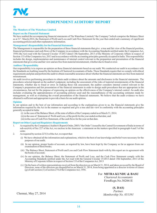

#### **INDEPENDENT AUDITORS' REPORT**

#### **To**

#### **The Members of The Waterbase Limited.**

#### **Report on the Financial Statement**

We have audited the accompanying financial statements of The Waterbase Limited ("the Company")which comprise the Balance Sheet as at 31<sup>st</sup>. March,2014, the Statement of Profit and Loss and Cash Flow Statement for the year then ended and a summary of significant accounting policies and other explanatory information.

#### **Management's Responsibility for the Financial Statements**

The Management is responsible for the preparation of these financial statements that give a true and fair view of the financial position, financial performance and cash flows of the Company in accordance with the Accounting Standards notified under the Companies Act, 1956 (the Act) read with the General Circular 15/2013 dated 13th September, 2013 of the Ministry of Corporate Affairs in respect of Section 133 of the Companies Act, 2013 and in accordance with the accounting principles generally accepted in India. This responsibility includes the design, implementation and maintenance of internal control relevant to the preparation and presentation of the financial statements that give a true and fair view and are free from material misstatement, whether due to fraud or error.

#### **Auditors' Responsibility**

Our responsibility is to express an opinion on these financial statements based on our audit. We conducted our audit in accordance with the Standards on Auditing issued by the Institute of Chartered Accountants of India. Those Standards require that we comply with ethical requirements and plan and perform the audit to obtain reasonable assurance about whether the financial statements are free from material misstatement.

An audit involves performing procedures to obtain audit evidence about the amounts and disclosures in the financial statements. The procedures selected depend on the auditor's judgment, including the assessment of the risks of material misstatements of the financial statements, whether due to fraud or error. In making those risk assessment, the auditor considers internal control relevant to the Company's preparation and fair presentation of the financial statements in order to design audit procedures that are appropriate in the circumstances, but not for the purpose of expressing an opinion on the effectiveness of the Company's internal control. An audit also includes evaluating the appropriateness of accounting policies used and the reasonableness of the accounting estimates made by management, as well as evaluating the overall presentation of the financial statements. We believe that the audit evidence we have obtained is sufficient and appropriate to provide a basis for our audit opinion.

#### **Opinion**

In our opinion and to the best of our information and according to the explanations given to us, the financial statements give the information required by the Act in the manner so required and give a true and fair view in conformity with the accounting principles generally accepted in India:

- (i) in the case of the Balance Sheet, of the state of affairs of the Company ended as at March 31, 2014.
- (ii) in the case of Statement of Profit and Loss, of the profit for the year ended on that date, and
- (iii) in the case of Cash Flow Statement, of the cash flows for the year on that date.

#### **Report on OtherLegal and Regulatory Requirements**

- 1. As required by the Companies (Auditor's Report) Order, 2003 ("the Order") issued by the Central Government of India in terms of sub-sec(4A) of Sec 227 of the Act, we enclose in the Annexure a statement on the matters specified in paragraph 4 and 5 of the order.
- 2. As required by section 227(3) of the Act, we report that:
	- (i) We have obtained all the information and explanations, which to the best of our knowledge and belief were necessary for the purposes of our audit;
	- (ii) In our opinion, proper books of account, as required by law, have been kept by the Company so far as appears from our examination of those books;
	- (iii) The Balance Sheet, Statement of Profit and Loss and Cash Flow Statement dealt with by this report are in agreement with the books of account;
	- (iv) In our opinion, the Balance Sheet, the Statement of Profit and Loss, and the Cash Flow Statement comply with the Accounting Standards notified under the Act read with the General Circular 15/2013 dated 13th September, Ministry of Corporate Affairs in respect of Section 133 of the Companies Act, 2013
		- (v) On the basis of written representations received from the directors as on March 31, 2014, and taken on record by the Board of Directors, none of the directors are disqualified as on March 31, 2014, from being appointed as a director in terms of clause (g) of sub-section (1) of section 274 of the Companies Act, 1956.

For **MITRA KUNDU & BASU** *Chartered Accountants* FirmRegn.No.302061E

#### **(S. DAS)**

*Partner. Membership No. 051391* Chennai, May 27, 2014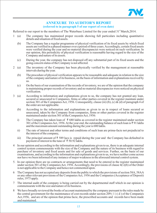

#### **ANNEXURE TO AUDITOR'S REPORT (referred to in paragraph 5 of our report of even date)**

Referred to our report to the members of The Waterbase Limited for the year ended 31<sup><sup>st</sup> March, 2014.</sup>

- 1 (a) The company has maintained proper records showing full particulars including quantitative details and situation of fixed assets.
	- (b) The Company has a regular programme of physical verification of its fixed assets by which fixed assets are verified in a phased manner over a period of three years. Accordingly, certain fixed assets were verified during the year and no material discrepancies were noticed on such verification. In our opinion, this periodicity of physical verification is reasonable having regard to the size of the Company and nature of its assets.
	- (c) During the year, the company has not disposed off any substantial part of its fixed assets and the going concern status of the Company is not affected.
- 2 (a) The inventory of the Company has been physically verified by the management at reasonable intervals during the year.
	- (b) The procedure of physical verification appears to be reasonable and adequate in relation to the size of the company and nature of its business, on the basis of information and explanations received by us.
	- (c) On the basis of our examination of the records of inventory, we are of the opinion that the company is maintaining proper records of inventory and no material discrepancies were noticed on physical verification.
- 3 (a) According to information and explanations given to us, the company has not granted any loan, secured or unsecured to Companies, firms or other parties covered in the register maintain under section 301 of the Companies Act, 1956. Consequently, clause (iii) (b), (c)  $\&$  (d) of paragraph 4 of the order are not applicable.
	- (b) According to the information and explanations as given to us in respect of loans secured or unsecured, taken by the Company from companies, firms or other parties covered in the register maintained under section 301 of the Companies Act, 1956:
	- i) The Company has taken loan of  $\bar{\tau}$  680 lakhs as covered in the register maintained under section 301 of the Companies Act, 1956. At the year end, the outstanding balance of such loan is  $\bar{\tau}$  91 lakhs and the maximum amount outstanding during the year is 680 lakhs.
	- ii) The rate of interest and other terms and conditions of such loan are prima-facie not prejudicial to the interest of the company,
	- iii) The principal amount of  $\bar{\tau}$  589 lacs is repaid during the year and the Company has defaulted in payment of interest to the tune of  $\bar{\tau}$  50.92 lakhs.
- In our opinion and according to the information and explanations given to us, there is an adequate internal control system commensurate with the size of the Company and the nature of its business with regard to purchase of inventory and fixed assets and for sale of goods and services. Further, on the basis of our examinations, and according to the information and explanations given to us, we have neither come across nor have we been informed of any instance of major weakness in the aforesaid internal control system.
- 5. In our opinion there are no contracts or arrangements that need to be entered in the register maintained under section 301 of the Companies Act, 1956. Accordingly, the provisions of clause  $4(\bar{v})(b)$  of the Order is not applicable to the Company and hence not commented upon.
- 6 The Company has not accepted any deposits from the public to which the provisions of section 58A, 58AA or any other relevant provisions of the Companies Act, 1956 and the Companies (Acceptance of Deposit) rules, 1975 apply.
- 7 The internal audit of the company is being carried out by the departmental staff which in our opinion is commensurate with the size and nature of its business.
- 8 We have broadly reviewed the books of account maintained by the company pursuant to the rules made by the central government for the maintenance of cost records under section 209 ( 1 ) ( d ) of the Companies Act,1956, and are of the opinion that prima facie, the prescribed accounts and records have been made and maintained.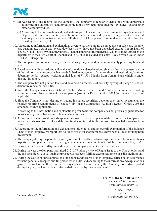

- 9 (a) According to the records of the company, the company is regular in depositing with appropriate authorities the undisputed statutory dues including Provident Fund, Income Tax, Sales Tax and other material statutory dues.
	- (b) According to the information and explanations given to us, no undisputed amounts payable in respect of provident fund, income tax, wealth tax, sales tax, customs duty, excise duty and other material statutory dues were outstanding, as at 31<sup>st</sup>March, 2014 for a period of more than six months from the date they became payable.
- 10. According to information and explanations given to us, there are no disputed dues of sales tax, incometax, customs tax/wealth-tax, excise duty/cess which have not been deposited except, Import Duty of  $\bar{\tau}$  535.36 lakhs levied by Custom Authority against import of raw materials, which is under appeal by the department in the High Court of Chennai and  $\bar{\tau}$  63.86 lakhs levied by Central Excise which is also under CESCAT ,Bangalore.
- 11. The company has not incurred any cash loss during the year and in the immediately preceding financial year.
- 12. Based on our audit procedures and on the information and explanations given by the management, we are of the opinion that the company has not defaulted in repayment of dues to financial institutions, banks or debenture holders except, working capital loan of  $\overline{\xi}$  459.85 lakhs from Canara Bank which is under dispute / litigation.
- 13. The company has not granted loans and advances on the basis of security by way of pledge of shares, debentures and other securities.
- 14. Since the Company is not a chit fund / Nidhi / Mutual Benefit Fund / Society, the relative reporting requirements of clause 4(xiii) of the Companies (Auditor's Report) Order, 2003 (as amended) are not applicable.
- 15. Since the Company is not dealing or trading in shares, securities, debentures or other investments, the relative reporting requirements of clause 4(xiv) of the Companies (Auditor's Report) Order, 2003 (as amended) are not applicable.
- 16. According to the information and explanations given to us, the company has not given any guarantee for loans taken by others from bank or financial institutions.
- 17. According to the information and explanations given to us and as per available records, the Company has availed a fresh loan from banks and the said fund was utilized for the purposes for which the loan has been taken.
- 18. According to the information and explanations given to us and an overall examination of the Balance Sheet of the Company, we report that no funds raised on short term basis have been utilized for long term investment.
- 19. The company during the period covered by our audit report has not made a preferential allotment of shares to parties or companies covered in the register maintained under section 301 of the Companies Act, 1956.
- 20. During the period covered by our audit report, the company has not issued debentures.
- 21. During the year the Company has raised  $\text{\textdegree{1286.77}}$  lakhs by way of Rights Issue to the Share holders and the end use objective as set out in the prospectus has been fulfilled except settlement of a disputed amount.
- 22. During the course of our examination of the books and records of the Company, carried out in accordance with the generally accepted auditing practices in India, and according to the information and explanations given to us, we have neither come across any instance of fraud on or by the Company, noticed or reported during the year, nor have we been informed of such case by the management.

#### For **MITRA KUNDU & BASU**

*Chartered Accountants* FirmRegn.No.302061E

#### **(SIBAJI DAS)**

*Partner. Membership No. 051391* Chennai, May 27, 2014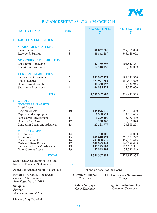

#### **BALANCE SHEET AS AT 31st MARCH 2014**

| <b>PARTICULARS</b>                                                                                                                                                                                                                                                                                                                                                                             | <b>Note</b>                                              | <b>31st March 2014</b><br>₹                                                                                                                                            | 31st March 2013<br>₹                                                                                                                                                   |
|------------------------------------------------------------------------------------------------------------------------------------------------------------------------------------------------------------------------------------------------------------------------------------------------------------------------------------------------------------------------------------------------|----------------------------------------------------------|------------------------------------------------------------------------------------------------------------------------------------------------------------------------|------------------------------------------------------------------------------------------------------------------------------------------------------------------------|
| <b>EQUITY &amp; LIABILITIES</b><br>T                                                                                                                                                                                                                                                                                                                                                           |                                                          |                                                                                                                                                                        |                                                                                                                                                                        |
| <b>SHAREHOLDERS' FUND</b>                                                                                                                                                                                                                                                                                                                                                                      |                                                          |                                                                                                                                                                        |                                                                                                                                                                        |
| Share Capital                                                                                                                                                                                                                                                                                                                                                                                  | $\sqrt{2}$                                               | 386,032,500                                                                                                                                                            | 257,355,000                                                                                                                                                            |
| Reserve & Surplus                                                                                                                                                                                                                                                                                                                                                                              | 3                                                        | 480, 842, 189                                                                                                                                                          | 345,149,052                                                                                                                                                            |
| <b>NON-CURRENT LIABILITIES</b>                                                                                                                                                                                                                                                                                                                                                                 |                                                          |                                                                                                                                                                        |                                                                                                                                                                        |
| Long-term Borrowings                                                                                                                                                                                                                                                                                                                                                                           | $\overline{4}$                                           | 22,130,598                                                                                                                                                             | 101,840,861                                                                                                                                                            |
| Long-term Provisions                                                                                                                                                                                                                                                                                                                                                                           | 5                                                        | 12,240,050                                                                                                                                                             | 10,938,889                                                                                                                                                             |
| <b>CURRENT LIABILITIES</b>                                                                                                                                                                                                                                                                                                                                                                     |                                                          |                                                                                                                                                                        |                                                                                                                                                                        |
| Short-term Borrowings                                                                                                                                                                                                                                                                                                                                                                          | 6                                                        | 103,997,371                                                                                                                                                            | 181,136,360                                                                                                                                                            |
| <b>Trade Payables</b>                                                                                                                                                                                                                                                                                                                                                                          | 7                                                        | 477,971,562                                                                                                                                                            | 350,599,620                                                                                                                                                            |
| Other Current Liabilities                                                                                                                                                                                                                                                                                                                                                                      | 8                                                        | 31,238,092                                                                                                                                                             | 79,834,943                                                                                                                                                             |
| <b>Short-term Provisions</b>                                                                                                                                                                                                                                                                                                                                                                   | 9                                                        | 66,855,523                                                                                                                                                             | 3,077,650                                                                                                                                                              |
| <b>TOTAL</b>                                                                                                                                                                                                                                                                                                                                                                                   |                                                          | 1,581,307,885                                                                                                                                                          | 1,329,932,375                                                                                                                                                          |
| <b>II. ASSETS</b><br><b>NON-CURRENT ASSETS</b><br><b>Fixed Assets</b><br><b>Tangible Assets</b><br>Capital work-in-progress<br>Non-Current Investments<br>Deferred Tax Asset<br>Long-term Loans and Advances<br><b>CURRENT ASSETS</b><br>Investments<br>Inventories<br>Trade Receivable<br>Cash and Bank Balance<br>Short-term Loans & Advances<br><b>Other Current Assets</b><br><b>TOTAL</b> | 10<br>11<br>12<br>13<br>14<br>15<br>16<br>17<br>18<br>19 | 145,096,630<br>1,308,831<br>1,270,400<br>3,258,365<br>22,221,977<br>700,000<br>488,618,994<br>483,800,838<br>248,989,747<br>103,143,602<br>82,898,501<br>1,581,307,885 | 152,161,860<br>4,263,623<br>3,770,400<br>9,975,840<br>24,888,258<br>700,000<br>352,581,722<br>457,901,613<br>166,789,409<br>123,517,801<br>33,381,849<br>1,329,932,375 |
| Significant Accounting Policies and                                                                                                                                                                                                                                                                                                                                                            |                                                          |                                                                                                                                                                        |                                                                                                                                                                        |
| Notes on Financial Statements                                                                                                                                                                                                                                                                                                                                                                  | 1 to 38                                                  |                                                                                                                                                                        |                                                                                                                                                                        |
| As per our separate report of even date.                                                                                                                                                                                                                                                                                                                                                       |                                                          | For and on behalf of the Board                                                                                                                                         |                                                                                                                                                                        |
| For MITRA KUNDU & BASU<br>Chartered Accountants<br>Firm Regn. No. 302061E                                                                                                                                                                                                                                                                                                                      |                                                          | <b>Vikram M Thapar</b><br>Chairman                                                                                                                                     | Lt. Gen. Deepak Summanwar<br>Director                                                                                                                                  |
| Sibaji Das                                                                                                                                                                                                                                                                                                                                                                                     |                                                          | <b>Ashok Nanjapa</b>                                                                                                                                                   | <b>Suguna Krishnamurthy</b>                                                                                                                                            |
| Partner                                                                                                                                                                                                                                                                                                                                                                                        |                                                          | Chief Executive                                                                                                                                                        | Company Secretary                                                                                                                                                      |
| Membership No. 051391                                                                                                                                                                                                                                                                                                                                                                          |                                                          |                                                                                                                                                                        |                                                                                                                                                                        |
| Chennai, May 27, 2014                                                                                                                                                                                                                                                                                                                                                                          |                                                          |                                                                                                                                                                        |                                                                                                                                                                        |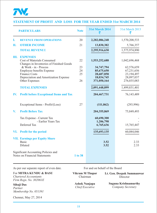

#### **STATEMENT OF PROFIT AND LOSS FOR THE YEAR ENDED 31st MARCH 2014**

|     | <b>PARTICULARS</b>                                                     | <b>Note</b> | <b>31st March 2014</b><br>₹ | 31st March 2013<br>₹ |
|-----|------------------------------------------------------------------------|-------------|-----------------------------|----------------------|
| L.  | <b>REVENUE FROM OPERATIONS</b>                                         | 20          | 2,282,086,248               | 1,570,208,533        |
| П.  | <b>OTHER INCOME</b>                                                    | 21          | 13,830,382                  | 5,766,357            |
|     | <b>TOTAL REVENUE</b>                                                   |             | 2,295,916,630               | 1,575,974,890        |
| Ш.  | <b>EXPENSES</b>                                                        |             |                             |                      |
|     | Cost of Materials Consumed<br>Changes in Inventories of Finished Goods | 22          | 1,553,252,688               | 1,042,696,468        |
|     | & Work - in - Process                                                  | 23          | 34,747,794                  | 62,576,659           |
|     | Employee benefits Expense                                              | 24          | 85,675,650                  | 67,231,656           |
|     | <b>Finance Costs</b>                                                   | 25          | 28,687,858                  | 23,194,497           |
|     | Depreciation and Amortization Expense                                  |             | 18,034,745                  | 28,097,037           |
|     | Other Expenses                                                         | 26          | 371,050,164                 | 276,035,083          |
|     | <b>TOTAL EXPENSES</b>                                                  |             | 2,091,448,899               | 1,499,831,401        |
| IV. | <b>Profit before Exceptional Items and Tax</b>                         |             | 204, 467, 731               | 76,143,489           |
|     | Exceptional Items - Profit/(Loss)                                      | 27          | (111, 862)                  | (293,996)            |
| V.  | <b>Profit Before Tax</b>                                               |             | 204,355,869                 | 75,849,493           |
|     | Tax Expense - Current Tax                                              |             | 60,690,300                  |                      |
|     | - Earlier Years Tax                                                    |             | 1,206,798                   |                      |
|     | Deferred Tax                                                           |             | 6,765,636                   | 15,765,447           |
| VI. | <b>Profit for the period</b>                                           |             | 135,693,135                 | 60,084,046           |
|     | <b>VII. Earnings per Equity Share</b>                                  |             |                             |                      |
|     | <b>Basic</b>                                                           |             | 3.52                        | 2.33                 |
|     | Diluted                                                                |             | 3.52                        | 2.33                 |
|     | Significant Accounting Policies and<br>Notes on Financial Statements   | 1 to 38     |                             |                      |
|     |                                                                        |             |                             |                      |

As per our separate report of even date. For and on behalf of the Board

*Membership No. 051391* Chennai, May 27, 2014

| For MITRA KUNDU & BASU<br>Chartered Accountants<br>Firm Regn. No. $302061E$ | Vikram M Thapar<br>Chairman | Lt. Gen. Deepak Summanwar<br>Director |
|-----------------------------------------------------------------------------|-----------------------------|---------------------------------------|
| Sibaji Das                                                                  | Ashok Nanjapa               | Suguna Krishnamurthy                  |
| Partner                                                                     | Chief Executive             | Company Secretary                     |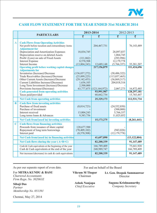

#### **CASH FLOW STATEMENT FOR THE YEAR ENDED 31st MARCH 2014**

|                |                                                                                                                                                                                                                                                                                                 |                                                                             | 2013-2014                                            | 2012-2013                                                        |                                         |
|----------------|-------------------------------------------------------------------------------------------------------------------------------------------------------------------------------------------------------------------------------------------------------------------------------------------------|-----------------------------------------------------------------------------|------------------------------------------------------|------------------------------------------------------------------|-----------------------------------------|
|                | <b>PARTICULARS</b>                                                                                                                                                                                                                                                                              | ₹                                                                           | ₹                                                    | ₹                                                                | ₹                                       |
| A              | <b>Cash Flows from Operating Activities</b><br>Net profit before taxation and extraordinary items<br><b>Adjustment for</b><br>Depreciation and Amortization Expenses<br>Depreciation reserve on deleted Assets                                                                                  | 18,034,745                                                                  | 204, 467, 731                                        | 28,097,037<br>1,064,745                                          | 76,143,489                              |
|                | Profit/ (Loss) on sale of Fixed Assets<br><b>Interest Expense</b><br>Interest Income                                                                                                                                                                                                            | (111, 862)<br>8,570,508<br>(13,804,243)                                     | 12,689,148                                           | (293,996)<br>12,179,778<br>(5,766,357)                           | 35,281,207                              |
|                | <b>Operating profit before working capital changes</b><br><b>Adjustments for</b><br>Inventories (Increase)/Decrease<br>Trade Receivables (Increase)/Decrease<br>Other Current Assets (Increase)/Decrease<br>Current Liabilities Increase/(Decrease)<br>Long Term Investment (Increase)/Decrease | (136, 037, 272)<br>(25,899,225)<br>(29, 142, 453)<br>1,636,103<br>2,500,000 | 217,156,879                                          | (38, 486, 322)<br>(113, 857, 465)<br>(36,869,317)<br>204,018,316 | 111,424,696                             |
|                | Provisions Increase/(Decrease)<br><b>Cash generated from operating activities</b><br>Taxes paid/provided                                                                                                                                                                                        |                                                                             | 63,777,875 (123,164,972)<br>93,991,907<br>68,662,734 | 2,067,273                                                        | 16,872,485<br>128,297,181<br>15,765,447 |
|                | <b>Net Cash from operating activities</b>                                                                                                                                                                                                                                                       |                                                                             | 25,329,173                                           |                                                                  | 112,531,734                             |
| B              | <b>Cash flow from investing activities</b><br>Purchase of fixed assets<br>Purchase of investment<br>Interest received<br>Long terms loans & Advances                                                                                                                                            | (8,014,723)<br>13,804,243<br>9,383,756                                      |                                                      | (24, 552, 850)<br>(500,000)<br>5,766,357<br>11,025,052           |                                         |
|                | Net Cash from/(used in) investing activities                                                                                                                                                                                                                                                    |                                                                             | 15, 173, 275                                         |                                                                  | (8,261,441)                             |
| $\overline{C}$ | <b>Cash flows from financing activities</b><br>Proceeds from issuance of share capital<br>Repayment of long term borrowings<br>Interest paid                                                                                                                                                    | 128,677,500<br>(78, 409, 102)<br>(8,570,508)                                |                                                      | (943, 026)<br>(12, 179, 778)                                     |                                         |
|                | Net Cash from/(used in) in financing activities                                                                                                                                                                                                                                                 |                                                                             | 41,697,890                                           |                                                                  | (13, 122, 804)                          |
|                | Net Cash flows during the year $(A+B+C)$                                                                                                                                                                                                                                                        |                                                                             | 82,200,339                                           |                                                                  | 91,147,489                              |
|                | Cash & Cash equivalents at the beginning of the year<br>Cash & Cash equivalents at the end of the year                                                                                                                                                                                          |                                                                             | 166,789,409<br>248,989,747                           |                                                                  | 75,641,920<br>166,789,409               |
|                | Net increase/(decrease) in cash $\&$ cash equivalents                                                                                                                                                                                                                                           |                                                                             | 82,200,339                                           |                                                                  | 91,147,489                              |

As per our separate report of even date. For and on behalf of the Board

For **MITRA KUNDU & BASU**  *Chartered Accountants Firm Regn. No. 302061E* 

**Sibaji Das** *Partner Membership No. 051391*

Chennai, May 27, 2014

**Vikram M Thapar** Chairman

**Lt. Gen. Deepak Summanwar** Director

**Ashok Nanjapa** *Chief Executive*

**Suguna Krishnamurthy** *Company Secretary*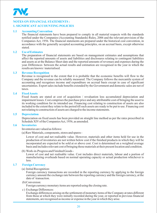

#### **NOTES ON FINANCIAL STATEMENTS : 1 . SIGNIFICANT ACCOUNTING POLICIES**

#### **1.1 Accounting Convention**

The financial statements have been prepared to comply in all material respects with the standards notified under the Companies (Accounting Standards) Rules, 2006 and the relevant provision of the Companies Act, 1956. The financial statements are prepared under the historical cost convention, in accordance with the generally accepted accounting principles, on an accrual basis, except otherwise stated.

#### **1.2 Use of Estimates**

The preparation of financial statements are based on management estimates and assumptions that affect the reported amounts of assets and liabilities and disclosures relating to contingent liabilities and assets as at the Balance Sheet date and the reported amounts of revenues and expenses during the year. Differences between the actual results and estimation are recognised in the year in which the results are known / materialised.

#### **1.3 Revenue Recognition**

Revenue is recognised to the extent that it is probable that the economic benefits will flow to the Company and the revenue can be reliably measured. The Company follows the mercantile system of accounting and recognises income and expenditure on accrual basis except in case of significant uncertainties. Export sales include benefits extended by the Government and domestic sales are net of taxes.

#### **1.4 Fixed Assets**

Fixed Assets are stated at cost of acquisition / revaluation less accumulated depreciation and impairment losses. Cost comprises the purchase price and any attributable cost of bringing the asset to its working condition for its intended use. Financing cost relating to construction of assets are also included to the extent they relate to the period till such assets are ready to be put to use. Financing cost not relating to construction of assets are charged to the income statements.

#### **1.5 Depreciation**

Depreciation on fixed assets has been provided on straight line method as per the rates prescribed in Schedule XIV of the Companies Act, 1956, as amended.

#### **1.6 Inventories**

Inventories are valued as follows:

(a) Raw Materials, components, stores and spares -

Lower of cost and net realisable value. However, materials and other items held for use in the production of inventories are not written below cost if the finished products in which they will be incorporated are expected to be sold at or above cost. Cost is determined on a weighted average basis and includes relevant cost of bringing those materials at their present location and condition.

(b) Work-in-Progress and Finished Goods -

Lower of cost and net realisable value. Cost includes direct materials, labour and a portion of manufacturing overheads based on normal operating capacity or actual production whichever is less.

#### **1.7 Foreign Currency**

(a) Initial Recognition:

Foreign currency transactions are recorded in the reporting currency by applying to the foreign currency amount the exchange rate between the reporting currency and the foreign currency, at the date of transaction.

#### (b) Conversion:

Foreign currency monetary items are reported using the closing rate.

#### c ) Exchange Differences:

Exchange differences arising on the settlement of monetary items of the Company at rates different from those at which they were initially recorded during the year, or reported in previous financial statements, are recognised as income or expense in the year in which they arise.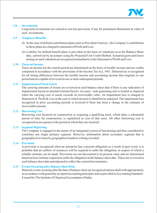

#### **1.8 Investments**

Long-term investments are carried at cost less provision, if any for permanent diminution in value of such investments.

#### **1.9 Employee Benefits**

- (I) In the case of defined contribution plans such as Provident Fund etc., the Company's contribution to these plans are charged to statement of Profit and Loss.
- (ii) Liability for defined benefit plans is provided on the basis of valuations as at the Balance Sheet date, carried out by an actuary using the Projected Unit Credit Method. Actuarial gains and losses arising on such valuation are recognised immediately in the Statement of Profit and Loss.

#### **1.10 Taxes on Income**

Taxes on income for the current period are determined on the basis of taxable income and tax credits computed in accordance with the provisions of the Income Tax Act, 1961. Deferred tax is recognised for all timing differences between the taxable income and accounting income that originate in one period and are capable of reversal in one or more subsequent periods.

#### **1.11 Impairment of Fixed Assets**

The carrying amounts of Assets are reviewed at each balance sheet date if there is any indication of impairement based on internal/external factors. An asset / cash generating unit is treated as impaired when the carrying cost of assets exceeds its recoverable value. An impairment loss is charged to Statement of Profit & Loss in the year in which an asset is identified as impaired. The impairment loss recognised in prior accounting periods is reversed if there has been a change in the estimate of recoverable amount.

#### **1.12 Borrowing Cost**

Borrowing cost incurred on construction or acquiring a qualifying asset, which takes a substantial period of time for construction, is capitalised as cost of that asset. All other borrowing cost is recognised as an expense in the period in which they are incurred.

#### **1.13 Segment Reporting**

The Company is engaged in the nature of an integrated system of functioning and thus considered to constitute one single primary segment. However, information about secondary segment that is geographical revenue by geographical markets is being recorded.

#### **1.14 Provision**

A provision is recognised when an enterprise has a present obligation as a result of past event; it is probable that an outflow of resources will be required to settle the obligation, in respect of which a reliable estimate can be made. Provisions are not discounted to its present value and are determined based on best estimate required to settle the obligation at the balance sheet date. These are reviewed at each balance sheet date and adjusted to reflect the current best estimates.

#### **1.15 Events Occuring afterBalance Sheet Date**

Material events occuring after the date of balance sheet are recognised and are dealt with appropriately in accordance with generally accepted accounting principles and as provided in Accounting Standard - 4 issued by The Institute of Chartered Accountants of India.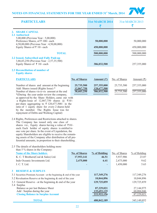

| <b>PARTICULARS</b>                                                                                                                                                                                                                                                                                                                                                                                                                                                                                                                                                                                                     |                                                 | <b>31st MARCH 2014</b><br>₹      |                                                      | 31st MARCH 2013<br>₹                     |  |
|------------------------------------------------------------------------------------------------------------------------------------------------------------------------------------------------------------------------------------------------------------------------------------------------------------------------------------------------------------------------------------------------------------------------------------------------------------------------------------------------------------------------------------------------------------------------------------------------------------------------|-------------------------------------------------|----------------------------------|------------------------------------------------------|------------------------------------------|--|
| 2. SHARE CAPITAL<br><b>2.1 Authorised</b><br>5,00,000 (Previous Year: 5,00,000)<br>Preference Shares, of ₹ 100/- each                                                                                                                                                                                                                                                                                                                                                                                                                                                                                                  |                                                 | 50,000,000                       |                                                      | 50,000,000                               |  |
| 4,50,00,000 (Previous Year: 4,50,00,000)                                                                                                                                                                                                                                                                                                                                                                                                                                                                                                                                                                               |                                                 |                                  |                                                      |                                          |  |
| Equity Shares of ₹ 10/- each                                                                                                                                                                                                                                                                                                                                                                                                                                                                                                                                                                                           |                                                 | 450,000,000                      |                                                      | 450,000,000                              |  |
| <b>TOTAL</b>                                                                                                                                                                                                                                                                                                                                                                                                                                                                                                                                                                                                           |                                                 | 500,000,000                      |                                                      | 500,000,000                              |  |
| 2.2 Issued, Subscribed and Fully Paid-up<br>3,86,03,250 (Previous Year: 2,57,35,500)<br>Equity Shares of ₹ 10/- each                                                                                                                                                                                                                                                                                                                                                                                                                                                                                                   |                                                 | 386,032,500                      |                                                      | 257, 355, 000                            |  |
| 2.3 Reconciliation of number of<br><b>Equity shares</b>                                                                                                                                                                                                                                                                                                                                                                                                                                                                                                                                                                |                                                 |                                  |                                                      |                                          |  |
| <b>PARTICULARS</b>                                                                                                                                                                                                                                                                                                                                                                                                                                                                                                                                                                                                     | <b>No. of Shares</b>                            | Amount $(\bar{z})$               | No. of Shares                                        | Amount (₹)                               |  |
| Number of shares and amount at the beginning                                                                                                                                                                                                                                                                                                                                                                                                                                                                                                                                                                           | 25,735,500                                      | 257,355,000                      | 25,735,500                                           | 257,355,000                              |  |
| Add: Shares issued (Rights Issue) *<br>Number of shares vis-à-vis amount at the end                                                                                                                                                                                                                                                                                                                                                                                                                                                                                                                                    | 12,867,750                                      | 128,677,500                      | 25,735,500                                           | 257,355,000                              |  |
| *(During the year under review the company,                                                                                                                                                                                                                                                                                                                                                                                                                                                                                                                                                                            | 38,603,250                                      | 386,032,500                      |                                                      |                                          |  |
| ratio of 1 equity share for every 2 shares held<br>by the member. The Rights Issue was for<br>repayment of Debts and Working Capital)<br>2.4 Rights, Preferences and Restrictions attached to shares.<br>The Company has issued only one class of<br>shares viz., Equity shares having a value of $\overline{\tau}10/-$<br>each. Each holder of equity shares is entitled to<br>one vote per share. In the event of Liquidation, the<br>equity Shareholders are eligible to receive the remain-<br>ing assets of the Company after distribution of all pre-<br>ferential amounts, in proportion to their shareholding. |                                                 |                                  |                                                      |                                          |  |
| 2.5 The details of shareholders holding more                                                                                                                                                                                                                                                                                                                                                                                                                                                                                                                                                                           |                                                 |                                  |                                                      |                                          |  |
| than 5 % shares in the Company:<br><b>Name of the Share holders</b><br>K. C. T Brothers(Coal & Sales) Ltd.<br>Indo Oceanic Investments Ltd.<br>J. C. T. Ltd.                                                                                                                                                                                                                                                                                                                                                                                                                                                           | <b>No. of Shares</b><br>17,953,141<br>2,475,000 | $\%$ of Holding<br>46.51<br>6.41 | No. of Shares<br>5,937,906<br>2,475,000<br>1,450,000 | $\%$ of Holding<br>23.07<br>9.62<br>5.63 |  |
| <b>RESERVE &amp; SURPLUS</b><br>3                                                                                                                                                                                                                                                                                                                                                                                                                                                                                                                                                                                      |                                                 |                                  |                                                      |                                          |  |
| 3.1 Securities Premium Account - at the beginning $\&$ end of the year                                                                                                                                                                                                                                                                                                                                                                                                                                                                                                                                                 |                                                 | 117,349,276                      |                                                      | 117,349,276                              |  |
| 3.2 Revaluation Reserve at the beginning $&$ end of the year                                                                                                                                                                                                                                                                                                                                                                                                                                                                                                                                                           |                                                 | 10,844,896                       |                                                      | 10,844,896                               |  |
| 3.3 General Reserve - at the beginning $\&$ end of the year<br>3.4 Surplus                                                                                                                                                                                                                                                                                                                                                                                                                                                                                                                                             |                                                 | 129,725,859                      |                                                      | 129,725,859                              |  |
| Balance as per last Balance Sheet<br>Add : Surplus during the year                                                                                                                                                                                                                                                                                                                                                                                                                                                                                                                                                     |                                                 | 87,229,021<br>135,693,135        |                                                      | 27,144,975<br>60,084,046                 |  |
| <b>Closing Balance in Surplus Account</b>                                                                                                                                                                                                                                                                                                                                                                                                                                                                                                                                                                              |                                                 | 222,922,156                      |                                                      | 87,229,021                               |  |
| <b>TOTAL</b>                                                                                                                                                                                                                                                                                                                                                                                                                                                                                                                                                                                                           |                                                 | 480, 842, 189                    |                                                      | 345,149,052                              |  |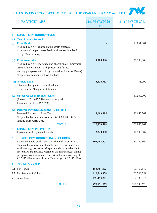

|            | <b>PARTICULARS</b>                                                                                                                                                                                                                                                                                                                                                                                              | <b>31st MARCH 2014</b><br>₹ | 31st MARCH 2013<br>₹      |
|------------|-----------------------------------------------------------------------------------------------------------------------------------------------------------------------------------------------------------------------------------------------------------------------------------------------------------------------------------------------------------------------------------------------------------------|-----------------------------|---------------------------|
| 4          | <b>LONG-TERM BORROWINGS</b>                                                                                                                                                                                                                                                                                                                                                                                     |                             |                           |
| 4.1<br>(i) | <b>Term Loans - Secured</b><br><b>From Banks</b><br>(Secured by a first charge on the assets created /<br>to be created on pari-passu basis with consortium banks<br>except Canara Bank).                                                                                                                                                                                                                       |                             | 13,051,704                |
|            | (ii) From Associates<br>(Secured by a first mortgage and charge on all immovable<br>assets of the Company both present and future,<br>ranking pari-passu with charge created in favour of Banks)<br>(Repayment schedule not yet finalised)                                                                                                                                                                      | 9,100,000                   | 20,500,000                |
|            | (iii) Vehicle Loan<br>(Secured by hypothication of vehicle<br>repayment in 48 equal instalments)                                                                                                                                                                                                                                                                                                                | 5,426,913                   | 731,790                   |
|            | <b>4.2 Unsecured Loan from Associates</b><br>(Interest of $\overline{\epsilon}$ 5,092,259/-due but not paid,<br>Previous Year ₹ 19,492,259/-)                                                                                                                                                                                                                                                                   |                             | 47,500,000                |
|            | <b>4.3 Deferred Payment Liabilities - Unsecured</b><br>Deferred Payment of Sales Tax<br>(Repayable by monthly installments of $\bar{\tau}$ 1,000,000/-<br>starting from April, 2012)                                                                                                                                                                                                                            | 7,603,685                   | 20,057,367                |
| 5          | <b>TOTAL</b><br><b>LONG-TERM PROVISIONS</b><br>Provision for Employee benefits                                                                                                                                                                                                                                                                                                                                  | 22,130,598<br>12,240,050    | 101,840,861<br>10,938,889 |
| 6          | <b>SHORT TERM BORROWING - SECURED</b><br>Loans repayable on demand - Cash Credit from Banks<br>(Against hypothecation of stocks such as, raw materials,<br>work-in-progress, stores & spares and consumables both<br>present, future and first charge on the fixed assets ranking<br>pari-passu with term loan lenders) Includes borrowing of<br>₹ 37,555,190/- under settlement (Previous year ₹ 37,555,190/-) | 103,997,371                 | 181,136,360               |
| 7          | <b>TRADE PAYABLES</b>                                                                                                                                                                                                                                                                                                                                                                                           |                             |                           |
|            | 7.1 For Goods                                                                                                                                                                                                                                                                                                                                                                                                   | 163,551,393                 | 92,760,149                |
|            | 7.2 For Services & Others                                                                                                                                                                                                                                                                                                                                                                                       | 116,249,958                 | 105,700,358               |
|            | 7.3 Acceptance                                                                                                                                                                                                                                                                                                                                                                                                  | 198,170,211                 | 152, 139, 113             |
|            | <b>TOTAL</b>                                                                                                                                                                                                                                                                                                                                                                                                    | 477,971,562                 | 350,599,620               |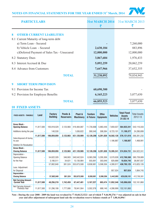

| <b>PARTICULARS</b>                          | <b>31st MARCH 2014</b><br>₹ | 31st MARCH 2013<br>₹ |  |
|---------------------------------------------|-----------------------------|----------------------|--|
| <b>OTHER CURRENT LIABILITIES</b><br>8       |                             |                      |  |
| 8.1 Current Maturity of long-term debt      |                             |                      |  |
| a) Term Loan - Secured                      |                             | 7,260,000            |  |
| b) Vehicle Loan - Secured                   | 2,630,184                   | 883,896              |  |
| c)Deferred Payment of Sales Tax - Unsecured | 12,000,000                  | 12,000,000           |  |
| 8.2 Statutory Dues                          | 3,867,684                   | 1,976,433            |  |
| 8.3 Interest Accrued & Due                  | 5,092,259                   | 20,062,259           |  |
| 8.4 Advance from Customers                  | 7,647,966                   | 37,652,355           |  |
| <b>TOTAL</b>                                | 31,238,092                  | 79,834,943           |  |
| <b>SHORT TERM PROVISION</b><br>9            |                             |                      |  |
| 9.1 Provision for Income Tax                | 60,690,300                  |                      |  |
| 9.2 Provision for Employee Benefits         | 6,165,223                   | 3,077,650            |  |
| <b>TOTAL</b>                                | 66,855,523                  | 3,077,650            |  |

#### **10 FIXED ASSETS**

| <b>FIXED ASSETS - TANGIBLE</b>           | Land       | <b>Factory</b><br><b>Building</b> | Ponds &<br><b>Reservoirs</b> | Plant &<br><b>Machinery</b> | <b>Furniture</b><br>& Fixtures | <b>Office</b><br><b>Equipments</b> | <b>Vehicles</b> | <b>Total Fixed</b><br><b>Assets</b><br>31.03.14 | <b>Total Assets</b><br>2012-13 |
|------------------------------------------|------------|-----------------------------------|------------------------------|-----------------------------|--------------------------------|------------------------------------|-----------------|-------------------------------------------------|--------------------------------|
| Gross Block -                            |            |                                   |                              |                             |                                |                                    |                 |                                                 |                                |
| <b>Opening Balance</b>                   | 11,817,500 | 105,918,529                       | 2,123,983                    | 419,484,087                 | 11,735,668                     | 5,983,446                          | 7,859,027       | 564,922,241                                     | 542,110,333                    |
| Additions during the year                |            | 140,530                           | ٠                            | 1,636,822                   | 390,540                        | 308,384                            | 8,723,101       | 11,199,377                                      | 24,280,899                     |
|                                          | 11,817,500 | 106.059.059                       | 2.123.983                    | 421,120,909                 | 12,126,208                     | 6,291,830                          | 16,582,128      | 576.121.618                                     | 566,391,232                    |
| Sales/disposed off during<br>he year     |            |                                   |                              |                             |                                |                                    | 1,186,887       | 1,186,887                                       | 1,468,991                      |
| Deletion On Revaluation                  |            |                                   |                              |                             |                                |                                    |                 |                                                 |                                |
| Gross Block -                            |            |                                   |                              |                             |                                |                                    |                 |                                                 |                                |
| <b>Closing Balance</b>                   | 11,817,500 | 106,059,059                       | 2,123,983                    | 421,120,909                 | 12,126,208                     | 6,291,830                          | 15,395,241      | 574,934,731                                     | 564,922,241                    |
| Depreciation -                           |            |                                   |                              |                             |                                |                                    |                 |                                                 |                                |
| <b>Opening Balance</b>                   |            | 54,622,329                        | 346.903                      | 340.542.524                 | 8,383,290                      | 5,295,306                          | 3.570.028       | 412.760.380                                     | 385.728.089                    |
| for the Year                             |            | 3,180,511                         | 34,621                       | 13,130,984                  | 555,691                        | 303,049                            | 829.889         | 18,034,745                                      | 28,097,037                     |
|                                          |            | 57,802,840                        | 381.524                      | 353,673,508                 | 8,938,981                      | 5,598,356                          | 4,399,917       | 430,795,125                                     | 413,825,126                    |
| Less: Adjustment                         |            |                                   |                              |                             |                                |                                    |                 |                                                 |                                |
| for Disposal                             |            |                                   |                              |                             |                                |                                    | 957,024         | 957,024                                         | 1,064,745                      |
| Depreciation -<br><b>Closing Balance</b> |            | 57,802,840                        | 381.524                      | 353,673,508                 | 8,938,981                      | 5,598,356                          | 3.442.893       | 429,838,101                                     | 412.760.381                    |
| Net Carrying Amount -<br>Current Year    | 11,817,500 | 48,256,219                        | 1,742,459                    | 67,447,401                  | 3,187,227                      | 693.474                            | 11.952.348      | 145.096.630                                     | 152.161.860                    |
| Net Carrying Amount -<br>Previous Year   | 11,817,500 | 51,296,199                        | 1,777,080                    | 78,941,564                  | 3,352,378                      | 688,140                            | 4,288,999       | 152,161,860                                     |                                |

Note : During the year 2008 - 2009 the land was revalued by ₹ 10,60,32,522/- out of which ₹ 9,46,90,276/-\* was adjusted on sale in that year and after adjustment of subsequent land sale the revaluation reserve balance stands at  $\bar{\tau}$  1,08,44,896/-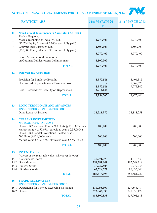

|              | <b>PARTICULARS</b>                                                                                                                                                                                                                         | <b>31st MARCH 2014</b><br>₹ | 31st MARCH 2013<br>₹       |  |
|--------------|--------------------------------------------------------------------------------------------------------------------------------------------------------------------------------------------------------------------------------------------|-----------------------------|----------------------------|--|
| 11           | <b>Non-Current Investments in Associates (At Cost)</b>                                                                                                                                                                                     |                             |                            |  |
| (i)          | Trade - Unquoted<br>Moana Technologies India Pvt. Ltd.<br>(12,704 Equity Shares of ₹ 100/- each fully paid)                                                                                                                                | 1,270,400                   | 1,270,400                  |  |
| (ii)         | Gourmet Delhicatessens Ltd.<br>(250,000 Equity Shares of ₹ 10/- each fully paid)                                                                                                                                                           | 2,500,000                   | 2,500,000                  |  |
|              |                                                                                                                                                                                                                                            | 3,770,400                   | 3,770,400                  |  |
|              | Less: Provision for diminution -<br>on Gourmet Delhicatessens Ltd investment                                                                                                                                                               | 2,500,000                   |                            |  |
|              | <b>TOTAL</b>                                                                                                                                                                                                                               | 1,270,400                   | 3,770,400                  |  |
| 12           | <b>Deferred Tax Assets (net)</b>                                                                                                                                                                                                           |                             |                            |  |
|              | Provision for Employee Benefits<br>Unabsorbed Depreciation and Business Loss                                                                                                                                                               | 5,972,511                   | 4,406,315<br>5,569,525     |  |
|              | Less : Deferred Tax Liability on Depreciation                                                                                                                                                                                              | 5,972,511<br>2,714,146      | 9,975,840                  |  |
|              | <b>TOTAL</b>                                                                                                                                                                                                                               | 3,258,365                   | 9,975,840                  |  |
| 13           | <b>LONG TERM LOANS AND ADVANCES -</b><br><b>UNSECURED, CONSIDERED GOOD</b><br>Other Loans / Advances                                                                                                                                       | 22, 221, 977                | 24,888,258                 |  |
| 14           | <b>CURRENT INVESTMENT IN</b><br><b>MUTUAL FUND - AT COST</b><br>Union KBC tax Saver Fund - 200 Units @ $\bar{\tau}$ 1,000/- each<br>Market value ₹ 2,57,071/- (previous year ₹ 2,35,000/-)<br>Union KBC Capital Protection Oriented Fund - | 200,000                     | 200,000                    |  |
|              | 500 Units @ ₹ 1,000/- each<br>Market value ₹ 5,69,926/- (Previous year ₹ 5,99,320/-)                                                                                                                                                       | 500,000                     | 500,000                    |  |
|              | <b>TOTAL</b>                                                                                                                                                                                                                               | 700,000                     | 700,000                    |  |
| 15           | <b>INVENTORIES</b><br>(At cost or net realisable value, whichever is lower)                                                                                                                                                                |                             |                            |  |
| 15.1         | Consumable Stores                                                                                                                                                                                                                          | 38,971,773                  | 34,018,630                 |  |
| 15.2<br>15.3 | Raw Materials<br>Process Stock                                                                                                                                                                                                             | 351,381,041<br>35,737,808   | 185,549,118<br>36,977,934  |  |
| 15.4         | <b>Finished Goods</b>                                                                                                                                                                                                                      | 62,528,372                  | 96,036,040                 |  |
|              | <b>TOTAL</b>                                                                                                                                                                                                                               | 488,618,994                 | 352,581,722                |  |
| <b>16</b>    | <b>TRADE RECEIVABLES -</b><br><b>UNSECURED, CONSIDERED GOOD</b>                                                                                                                                                                            |                             |                            |  |
|              | 16.1 Outstanding for a period exceeding six months<br>16.2 Others                                                                                                                                                                          | 110,758,300<br>373,042,538  | 129,846,484<br>328,055,129 |  |
|              | <b>TOTAL</b>                                                                                                                                                                                                                               | 483,800,838                 | 457,901,613                |  |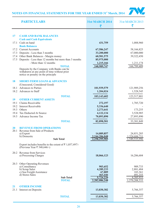

|      | <b>PARTICULARS</b>                                                                                                                                                                                                                    | <b>31st MARCH 2014</b><br>₹                                                      | 31st MARCH 2013<br>₹                                                     |
|------|---------------------------------------------------------------------------------------------------------------------------------------------------------------------------------------------------------------------------------------|----------------------------------------------------------------------------------|--------------------------------------------------------------------------|
| 17   | <b>CASH AND BANK BALANCES</b>                                                                                                                                                                                                         |                                                                                  |                                                                          |
|      | <b>Cash and Cash Equivalents</b><br>17.1 Cash on hand                                                                                                                                                                                 | 431,759                                                                          | 1,088,960                                                                |
|      | <b>Bank Balances</b><br>17.2 Current Accounts<br>17.3 Deposits - Less than 3 months<br>17.4 Other Bank Balances - Margin money<br>17.5 Deposits - Less than 12 months but more than 3 months<br>- More than 12 months<br><b>TOTAL</b> | 67,586,247<br>33,200,000<br>60,581,575<br>85,975,000<br>1,215,166<br>248,989,747 | 58,166,825<br>67,000,000<br>39,322,450<br>1,211,174<br>166,789,409       |
|      | Deposits by the Company with Banks can be<br>withdrawn at any point of time without prior<br>notice or penalty on the principle                                                                                                       |                                                                                  |                                                                          |
| 18   | <b>SHORT-TERM LOANS &amp; ADVANCES</b>                                                                                                                                                                                                |                                                                                  |                                                                          |
| 18.1 | (Unsecured, Considered Good)<br><b>Advances to Parties</b><br>18.2 Advances to Staff                                                                                                                                                  | 101,939,579<br>1,204,024                                                         | 121,989,256<br>1,528,545                                                 |
| 19   | <b>TOTAL</b><br><b>OTHER CURRENT ASSETS</b>                                                                                                                                                                                           | 103,143,602                                                                      | 123,517,801                                                              |
|      | 19.1 Claims Receivable<br>19.2 Interest Receivable                                                                                                                                                                                    | 272,197<br>5,336,640                                                             | 1,785,720                                                                |
|      | 19.3 Others<br>19.4 Tax Deducted At Source<br>19.5 Advance Income Tax                                                                                                                                                                 | 2,273,641<br>4,122,134<br>70,893,890                                             | 173,255<br>3,528,985<br>27,893,890                                       |
|      | <b>TOTAL</b>                                                                                                                                                                                                                          | 82,898,501                                                                       | 33,381,849                                                               |
| 20   | <b>REVENUE FROM OPERATIONS</b><br>20.1 Revenue from Sale of Products<br>a) Export<br>b) Domestic<br><b>Sub Total</b>                                                                                                                  | 14,089,857<br>2,244,206,048<br>2,258,295,905                                     | 24,851,285<br>1,524,684,711<br>1,549,535,996                             |
|      | Export includes benefits to the extent of $\bar{\tau}$ 1,057,497/-<br>(Previous Year ₹ 548,646/-)                                                                                                                                     |                                                                                  |                                                                          |
|      | 20.2 Revenue from Services<br>a) Processing Charges                                                                                                                                                                                   | 18,066,123                                                                       | 16,286,604                                                               |
| 20.3 | Other Operating Revenues<br>a) Consultancy<br>b) Scrap Sales<br>c) Sea Freight Assistance<br>d) Stores Sales<br><b>Sub Total</b><br><b>TOTAL</b>                                                                                      | 903,652<br>4,289,233<br>67,889<br>463,446<br>5,724,220<br>2,282,086,248          | 909,733<br>2,881,484<br>103,361<br>491,355<br>4,385,933<br>1,570,208,533 |
| 21   | <b>OTHER INCOME</b><br>21.1 Interest on Deposits                                                                                                                                                                                      | 13,830,382                                                                       | 5,766,357                                                                |
|      | <b>TOTAL</b>                                                                                                                                                                                                                          | 13,830,382                                                                       | 5,766,357                                                                |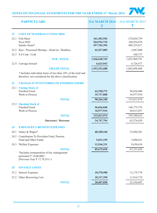

|      | <b>PARTICULARS</b>                                                                                                       | <b>31st MARCH 2014</b><br>₹                 | <b>31st MARCH 2013</b><br>₹               |
|------|--------------------------------------------------------------------------------------------------------------------------|---------------------------------------------|-------------------------------------------|
| 22   | <b>COST OF MATERIALS CONSUMED</b>                                                                                        |                                             |                                           |
|      | 22.1 Fish Meal<br>Soya DOC<br>Sundry Items*                                                                              | 361, 383, 556<br>564,934,710<br>557,783,394 | 274,820,759<br>348,924,878<br>409,235,817 |
|      | 22.2 Raw / Processed Shrimps - Head on / Headless                                                                        | 62,527,085                                  | 2,887,600                                 |
|      | 22.3 S S Crab / Crab                                                                                                     |                                             | 100,737                                   |
|      | <b>SUB-TOTAL</b>                                                                                                         | 1,546,628,745                               | 1,035,969,791                             |
|      | 22.4 Carriage Inward                                                                                                     | 6,623,943                                   | 6,726,677                                 |
|      | <b>GRAND TOTAL</b>                                                                                                       | 1,553,252,688                               | 1,042,696,468                             |
|      | * Includes individual items of less than 10% of the total and<br>therefore, not considered for the above classification. |                                             |                                           |
| 23   | <b>CHANGE IN INVENTORIES OF FINISHED GOODS</b>                                                                           |                                             |                                           |
| 23.1 | <b>Closing Stock of</b><br>Finished Good<br>Work in Process                                                              | 62,528,372<br>35,737,808                    | 96,036,040<br>36,977,934                  |
|      | <b>TOTAL</b>                                                                                                             | 98,266,180                                  | 133,013,974                               |
|      | 23.2 Opening Stock of<br>Finished Good<br>Work in Process                                                                | 96,036,040<br>36,977,934                    | 148,775,576<br>46,815,057                 |
|      | <b>TOTAL</b>                                                                                                             | 133,013,974                                 | 195,590,633                               |
|      | (Increase) / Decrease                                                                                                    | 34,747,794                                  | 62,576,659                                |
| 24   | <b>EMPLOYEE'S BENEFIT EXPENSES</b>                                                                                       |                                             |                                           |
| 24.1 | Salary & Wages*                                                                                                          | 68,100,160                                  | 53,890,381                                |
|      | 24.2 Contribution To Provident Fund, Pension<br>Fund and Other Funds                                                     | 5,031,159                                   | 3,690,621                                 |
|      | 24.3 Welfare Expenses                                                                                                    | 12,544,331                                  | 9,650,654                                 |
|      | <b>TOTAL</b><br>*Includes remuneration of key management<br>personnel ₹ 18,00,000/-<br>(Previous Year ₹ 17,79,551/-)     | 85,675,650                                  | 67,231,656                                |
| 25   | <b>FINANCE COSTS</b>                                                                                                     |                                             |                                           |
| 25.1 | <b>Interest Expenses</b>                                                                                                 | 10,370,508                                  | 12,179,778                                |
| 25.2 | Other Borrowing Cost                                                                                                     | 18,317,350                                  | 11,014,719                                |
|      | <b>TOTAL</b>                                                                                                             | 28,687,858                                  | 23, 194, 497                              |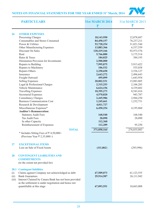

|             | <b>PARTICULARS</b>                                                                          | <b>31st MARCH 2014</b><br>₹ | <b>31st MARCH 2013</b><br>₹ |
|-------------|---------------------------------------------------------------------------------------------|-----------------------------|-----------------------------|
| 26          | <b>OTHER EXPENSES</b>                                                                       |                             |                             |
|             | Processing Charges                                                                          | 18,143,950                  | 12,078,687                  |
|             | Consumables and Stores Consumed                                                             | 84,450,157                  | 76,237,211                  |
|             | Power & Utilities                                                                           | 53,728,254                  | 31,821,544                  |
|             | Other Manufacturing Expenses                                                                | 13,883,366                  | 6,537,559                   |
|             | Discount On Sales                                                                           | 120,419,166                 | 92,973,576                  |
|             | Rent                                                                                        | 5,766,880                   | 3,175,514                   |
|             | Rates & Taxes                                                                               | 184,025                     | 384,193                     |
|             | Diminution Provision for Investments                                                        | 2,500,000                   |                             |
|             | Repairs to Building                                                                         | 7,995,875                   | 5,913,422                   |
|             | Repairs to Machinery                                                                        | 106,532                     | 555,038                     |
|             | Repairs Others                                                                              | 2,250,650                   | 2,536,127                   |
|             | Insurance                                                                                   | 2,643,272                   | 2,496,643                   |
|             | Freight Outward                                                                             | 495,099                     | 1,643,954                   |
|             | <b>Selling Expenses</b>                                                                     | 20,002,531                  | 15,083,805                  |
|             | Legal & Professional Charges                                                                | 2,315,253                   | 2,106,285                   |
|             | Vehicle Maintenance                                                                         | 6,624,156                   | 4,339,602                   |
|             | <b>Travelling Expenses</b>                                                                  | 10,395,273                  | 8,543,416                   |
|             | Secretarial Expenses                                                                        | 4,570,820                   | 943,787                     |
|             | <b>Consultancy Charges</b>                                                                  | 2,445,986                   | 2,944,250                   |
|             | <b>Business Communication Cost</b>                                                          | 1,245,661                   | 1,232,731                   |
|             | Research & Development                                                                      | 4,011,727                   |                             |
|             | Miscellaneous Expenses*                                                                     | 6,450,254                   | 4,195,860                   |
|             | <b>Auditor's Remuneration:</b>                                                              |                             |                             |
|             | <b>Statutory Audit Fees</b>                                                                 | 168,540                     | 168,540                     |
|             | <b>Tax Audit Fees</b>                                                                       | 28,090                      | 28,090                      |
|             | In other Capacity                                                                           | 112,360                     |                             |
|             | Reimbursement of Expenses                                                                   | 112,289                     | 95,250                      |
|             | <b>TOTAL</b>                                                                                | 371,050,164                 | 276,035,083                 |
|             | * Includes Sitting Fees of $\overline{\epsilon}$ 4,50,000/-<br>(Previous Year ₹ 2,35,000/-) |                             |                             |
| 27          | <b>EXCEPTIONAL ITEMS</b>                                                                    |                             |                             |
|             | Loss on Sale of Fixed Assets                                                                | (111, 862)                  | (293,996)                   |
| 28          | <b>CONTINGENT LIABILITIES AND</b>                                                           |                             |                             |
|             | <b>COMMITMENTS</b>                                                                          |                             |                             |
|             | (to the extent not provided for)                                                            |                             |                             |
| <b>28.1</b> | <b>Contingent liabilities</b>                                                               |                             |                             |
| (i)         | Claims against Company not acknowledged as debt                                             | 67,509,073                  | 61,123,555                  |
| (ii)        | <b>Bank Guarantees</b>                                                                      | 29,914,587                  | 26,111,942                  |
| (iii)       | Interest Claimed by Canara Bank has not been provided                                       |                             |                             |
|             | as the settlement is under negotiation and hence not                                        |                             |                             |
|             | quantifiable at this stage                                                                  | 67,093,551                  | 10,663,008                  |
|             |                                                                                             |                             |                             |
|             |                                                                                             |                             |                             |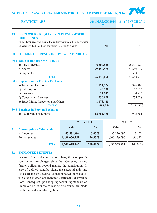

|    | <b>PARTICULARS</b>                                                                                                                                                                               |               | ₹            | <b>31st MARCH 2014</b> | 31st MARCH 2013<br>₹ |
|----|--------------------------------------------------------------------------------------------------------------------------------------------------------------------------------------------------|---------------|--------------|------------------------|----------------------|
| 29 | <b>DISCLOSURE REQUIRED IN TERMS OF SEBI</b><br><b>GUIDELINES</b><br>Part of Loan received during the earlier years from M/s Towerbase<br>Services Pvt Ltd. has been converted into Equity Shares |               |              | <b>Nil</b>             | N <sub>il</sub>      |
| 30 | <b>FOREIGN CURRENCY INCOME &amp; EXPENDITURE</b>                                                                                                                                                 |               |              |                        |                      |
|    | 30.1 Value of Imports On CIF basis                                                                                                                                                               |               |              |                        |                      |
|    | a) Raw Materials                                                                                                                                                                                 |               | 46,607,588   |                        | 38,501,220           |
|    | b) Spares                                                                                                                                                                                        |               | 29,450,578   |                        | 23,649,677           |
|    | c) Capital Goods                                                                                                                                                                                 |               |              |                        | 19,503,073           |
|    | <b>TOTAL</b>                                                                                                                                                                                     |               | 76,058,166   |                        | 81,653,970           |
|    | 30.2 Expenditure in Foreign Exchange                                                                                                                                                             |               |              |                        |                      |
|    | a) Travelling Expenses                                                                                                                                                                           |               | 1,191,724    |                        | 1,326,406            |
|    | b) Subscription                                                                                                                                                                                  |               |              | 40,378                 | 77,033               |
|    | c) Insurance                                                                                                                                                                                     |               |              | 37,247                 | 34,853               |
|    | d) Consultancy Services                                                                                                                                                                          |               | 250,129      |                        | 775,028              |
|    | e) Trade Mark, Inspection and Others                                                                                                                                                             |               | 1,073,463    |                        |                      |
|    | <b>TOTAL</b>                                                                                                                                                                                     |               | 2,592,941    |                        | 2,213,320            |
|    | 30.3 Earnings in Foreign Exchange                                                                                                                                                                |               |              |                        |                      |
|    | a) F O B Value of Exports                                                                                                                                                                        |               | 12,962,456   |                        | 7,935,881            |
|    |                                                                                                                                                                                                  | $2013 - 2014$ |              |                        | 2012 - 2013          |
|    | $\mathbf{V}$ .                                                                                                                                                                                   |               | $\mathbf{a}$ | $\mathbf{V}$ .         | $\mathbf{a}$         |

| <b>Consumption of Materials</b><br>31 | <b>Value</b>                | $\frac{0}{0}$         | Value                       | $\frac{0}{0}$      |
|---------------------------------------|-----------------------------|-----------------------|-----------------------------|--------------------|
| a) Imported<br>b) Indigenous          | 47,552,494<br>1,499,076,251 | $3.07\%$<br>$96.93\%$ | 35,830,095<br>1,000,139,696 | $3.46\%$<br>96.54% |
| <b>TOTAL</b>                          | 1,546,628,745               | $100.00\%$            | 1,035,969,791               | $100.00\%$         |

#### **32 EMPLOYEE BENEFITS**

In case of defined contribution plans, the Company's contribution are charged since the Company has no further obligation beyond making the contribution. In case of defined benefits plans, the actuarial gain and losses arising on actuarial valuation based on projected unit credit method are charged to statement of Profit & Loss. Consequent upon adopting accounting standard on Employee benefits the following disclosures are made for the defined benefit obligation :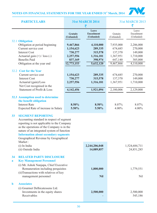

| <b>PARTICULARS</b>                                                                                                                                                                                                                                                                                                      |                                                                                      | <b>31st MARCH 2014</b><br>₹                                          |                                                                      | <b>31st MARCH 2013</b><br>₹                                          |  |
|-------------------------------------------------------------------------------------------------------------------------------------------------------------------------------------------------------------------------------------------------------------------------------------------------------------------------|--------------------------------------------------------------------------------------|----------------------------------------------------------------------|----------------------------------------------------------------------|----------------------------------------------------------------------|--|
|                                                                                                                                                                                                                                                                                                                         | <b>Gratuity</b><br>(Unfunded)                                                        | Leave<br><b>Encashment</b><br>(Unfunded)                             | Gratuity<br>(Unfunded)                                               | Leave<br>Encashment<br>(Unfunded)                                    |  |
| 32.1 Obligation<br>Obligation at period beginning<br>Current service cost<br><b>Interest Cost</b><br>Actuarial gain $(+)$ / loss $(-)$<br><b>Benefits Paid</b><br>Obligation at the year end                                                                                                                            | 9,467,866<br>1,154,623<br>730,277<br>2,257,556<br>837,169<br>$\overline{12,773,153}$ | 4,110,000<br>289,335<br>315,578<br>1,316,181<br>398,974<br>5,632,120 | 7,935,000<br>674,685<br>137,370<br>1,367,951<br>647,140<br>9,467,866 | 2,286,000<br>270,000<br>149,000<br>1,710,000<br>305,000<br>4,110,000 |  |
| <b>Cost for the Year</b><br>32.2<br>Current service cost<br><b>Interest Cost</b><br>Actuarial (gain)/Loss<br>Net Cost recognised in the<br>Statement of Profit & Loss                                                                                                                                                   | 1,154,623<br>730,277<br>2,257,556<br>4,142,456                                       | 289,335<br>315,578<br>1,316,181<br>1,921,094                         | 674,685<br>137,370<br>1,367,951<br>2,180,006                         | 270,000<br>149,000<br>1,710,000<br>2,129,000                         |  |
| 32.3 Assumption used to determine<br>the benefit obligation<br><b>Interest Rate</b><br>Expected Rate of increase in Salary                                                                                                                                                                                              | 8.50%<br>5.50%                                                                       | 8.50%<br>5.50%                                                       | 8.07%<br>4.00%                                                       | 8.07%<br>$4.00\%$                                                    |  |
| <b>SEGMENT REPORTING</b><br>33<br>Accounting standard in respect of segment<br>reporting is not applicable to the Company<br>as the operations of the Company is in the<br>nature of an integrated system of function<br><b>Information about secondary segments</b><br>Geographical Revenue by Geographical<br>Market: |                                                                                      |                                                                      |                                                                      |                                                                      |  |
| (i) In India<br>(ii) Outside India                                                                                                                                                                                                                                                                                      |                                                                                      | 2,244,206,048<br>14,089,857                                          |                                                                      | 1,524,684,711<br>24,851,285                                          |  |
| 34<br><b>RELATED PARTY DISCLOSURE</b><br><b>Key Management Personnel</b><br>$\mathbf{a}$<br>(i) Mr. Ashok Nanjapa, Chief Executive<br>Remuneration including perquisites<br>(ii)Transactions with relatives of key<br>management personnel                                                                              |                                                                                      | 1,800,000<br><b>Nil</b>                                              |                                                                      | 1,779,551<br>Nil                                                     |  |
| <b>Associates</b><br>$\mathbf b$<br>(i) Gourmet Delhicatessens Ltd.<br>Investments in the equity shares<br>Receivables                                                                                                                                                                                                  |                                                                                      | 2,500,000                                                            |                                                                      | 2,500,000<br>545,186                                                 |  |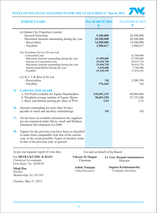

| <b>PARTICULARS</b>                                                                                                                                                                                                                          | <b>31st MARCH 2014</b><br>₹                                       | <b>31st MARCH 2013</b><br>₹                                                     |
|---------------------------------------------------------------------------------------------------------------------------------------------------------------------------------------------------------------------------------------------|-------------------------------------------------------------------|---------------------------------------------------------------------------------|
| (ii) Indian City Properties Limited<br>Secured Term-loan<br>Maximum Amount outstanding during the year<br>- Receivables<br>- Payables                                                                                                       | 9,100,000<br>20,500,000<br>14,500,000<br>2,900,617                | 20,500,000<br>20,500,000<br>14,500,000<br>2,900,617                             |
| (iii) Towerbase Service Private Ltd.<br>- Unsecured Loan<br>Maximum Amount outstanding during the year<br>- Interest on Unsecured Loan<br>Maximum Amount outstanding during the year<br>Interest paid/debited during the year<br>- Payables | 47,500,000<br>19,294,758<br>33,694,758<br>3,420,000<br>15,140,109 | 47,500,000<br>47,500,000<br>30,616,758<br>30,616,758<br>5,700,000<br>13,836,203 |
| $(iv)$ K C T & Bros $(CS)$ Ltd<br>- Receivables<br>- Payables                                                                                                                                                                               | <b>Nil</b><br>376,645                                             | 2,308,399<br>Nil                                                                |
| <b>EARNING PER SHARE</b><br>35<br>a. Net Profit available for Equity Shareholders<br>b. Weighted average number of Equity Shares<br>c. Basic and diluted earning per share of $\bar{\tau}$ 10/-                                             | 135,693,135<br>38,603,250<br>3.52                                 | 60,084,046<br>25,735,500<br>2.33                                                |
| Amount outstanding for more than 30 days<br>36.<br>payable to small and ancillary undertakings.                                                                                                                                             | <b>Nil</b>                                                        | Nil                                                                             |
| On the basis of available information the suppliers<br>37.<br>are not registered under Micro, small and Medium<br>Enterprise Development Act, 2006.                                                                                         |                                                                   |                                                                                 |
| Figures for the previous year have been re-classified<br>38.<br>to make them comparable with that of the current<br>year, to the extent possible. Figure in brackets relate<br>to that of the previous year, in general.                    |                                                                   |                                                                                 |

As per our separate report of even date. For and on behalf of the Board

| For <b>MITRA KUNDU &amp; BASU</b><br>Chartered Accountants<br>Firm Regn. No. 302061E | Vikram M Thapar<br>Chairman | Lt. Gen. Deepak Summanwar<br>Director |
|--------------------------------------------------------------------------------------|-----------------------------|---------------------------------------|
| Sibaji Das                                                                           | Ashok Nanjapa               | <b>Suguna Krishnamurthy</b>           |
| Partner                                                                              | Chief Executive             | Company Secretary                     |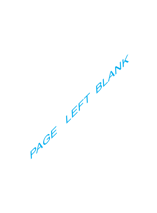PAGE LEFT BLANK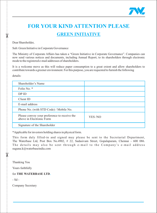

## **FOR YOUR KIND ATTENTION PLEASE**

|                                                                                                                                                                                                                                                                                                     | <b>FOR YOUR KIND ATTENTION PLEASE</b> |
|-----------------------------------------------------------------------------------------------------------------------------------------------------------------------------------------------------------------------------------------------------------------------------------------------------|---------------------------------------|
| <b>GREEN INITIATIVE</b>                                                                                                                                                                                                                                                                             |                                       |
| Dear Shareholder,                                                                                                                                                                                                                                                                                   |                                       |
| Sub: Green Initiative in Corporate Governance                                                                                                                                                                                                                                                       |                                       |
| The Ministry of Corporate Affairs has taken a "Green Initiative in Corporate Governance". Companies can<br>now send various notices and documents, including Annual Report, to its shareholders through electronic<br>mode to the registered e-mail addresses of shareholders.                      |                                       |
| It is a welcome move as this will reduce paper consumption to a great extent and allow shareholders to<br>contribute towards a greener environment. For this purpose, you are requested to furnish the following                                                                                    |                                       |
| details:                                                                                                                                                                                                                                                                                            |                                       |
| Shareholder's Name                                                                                                                                                                                                                                                                                  |                                       |
| Folio No. *                                                                                                                                                                                                                                                                                         |                                       |
| DP ID                                                                                                                                                                                                                                                                                               |                                       |
| Client ID                                                                                                                                                                                                                                                                                           |                                       |
| E-mail address                                                                                                                                                                                                                                                                                      |                                       |
| Phone No. (with STD Code) / Mobile No.                                                                                                                                                                                                                                                              |                                       |
| Please convey your preference to receive the<br>above in Electronic Form                                                                                                                                                                                                                            | YES /NO                               |
| Signature of the Shareholder                                                                                                                                                                                                                                                                        |                                       |
| *Applicable for investors holding shares in physical form.                                                                                                                                                                                                                                          |                                       |
| This form duly filled-in and signed may please be sent to the Secretarial Department,<br>The Waterbase Ltd, Post Box No.4902, # 22, Sadasivam Street, Gopalapuram, Chennai - 600 086.<br>The details may also be sent through e-mail to the Company's e-mail address<br>suguna.k@waterbaseindia.com |                                       |
|                                                                                                                                                                                                                                                                                                     |                                       |
| Thanking You                                                                                                                                                                                                                                                                                        |                                       |
| Yours faithfully                                                                                                                                                                                                                                                                                    |                                       |
| for THE WATERBASE LTD.                                                                                                                                                                                                                                                                              |                                       |
| $-Sd -$                                                                                                                                                                                                                                                                                             |                                       |
|                                                                                                                                                                                                                                                                                                     |                                       |